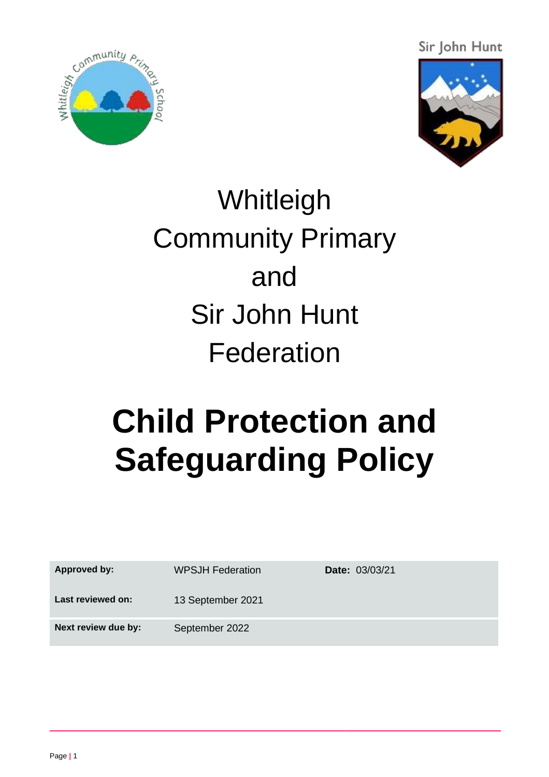Sir John Hunt





# Whitleigh Community Primary and Sir John Hunt Federation

# **Child Protection and Safeguarding Policy**

| Approved by:        | <b>WPSJH Federation</b> | <b>Date: 03/03/21</b> |
|---------------------|-------------------------|-----------------------|
| Last reviewed on:   | 13 September 2021       |                       |
| Next review due by: | September 2022          |                       |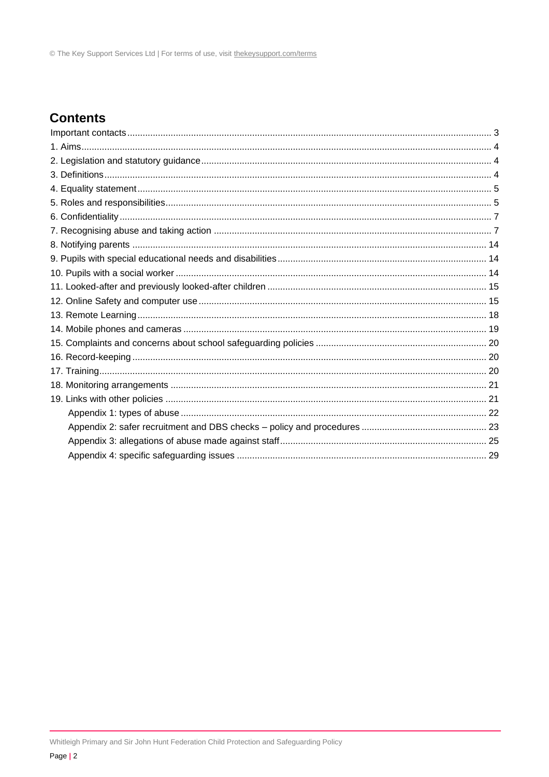# **Contents**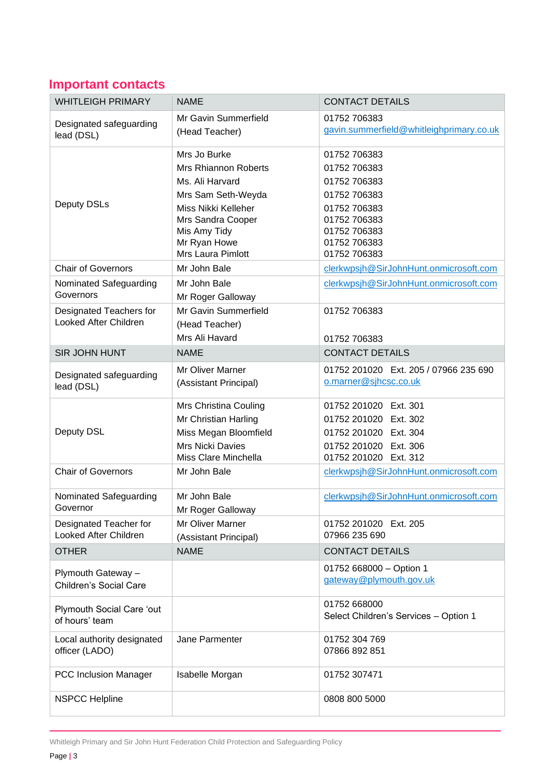# <span id="page-2-0"></span>**Important contacts**

| <b>WHITLEIGH PRIMARY</b>                                | <b>NAME</b>                                                                                                                                                                           | <b>CONTACT DETAILS</b>                                                                                                                       |
|---------------------------------------------------------|---------------------------------------------------------------------------------------------------------------------------------------------------------------------------------------|----------------------------------------------------------------------------------------------------------------------------------------------|
| Designated safeguarding<br>lead (DSL)                   | Mr Gavin Summerfield<br>(Head Teacher)                                                                                                                                                | 01752 706383<br>gavin.summerfield@whitleighprimary.co.uk                                                                                     |
| <b>Deputy DSLs</b>                                      | Mrs Jo Burke<br><b>Mrs Rhiannon Roberts</b><br>Ms. Ali Harvard<br>Mrs Sam Seth-Weyda<br>Miss Nikki Kelleher<br>Mrs Sandra Cooper<br>Mis Amy Tidy<br>Mr Ryan Howe<br>Mrs Laura Pimlott | 01752 706383<br>01752 706383<br>01752 706383<br>01752 706383<br>01752 706383<br>01752 706383<br>01752 706383<br>01752 706383<br>01752 706383 |
| <b>Chair of Governors</b>                               | Mr John Bale                                                                                                                                                                          | clerkwpsjh@SirJohnHunt.onmicrosoft.com                                                                                                       |
| Nominated Safeguarding<br>Governors                     | Mr John Bale<br>Mr Roger Galloway                                                                                                                                                     | clerkwpsjh@SirJohnHunt.onmicrosoft.com                                                                                                       |
| Designated Teachers for<br><b>Looked After Children</b> | Mr Gavin Summerfield<br>(Head Teacher)<br>Mrs Ali Havard                                                                                                                              | 01752 706383<br>01752 706383                                                                                                                 |
| SIR JOHN HUNT                                           | <b>NAME</b>                                                                                                                                                                           | <b>CONTACT DETAILS</b>                                                                                                                       |
| Designated safeguarding<br>lead (DSL)                   | Mr Oliver Marner<br>(Assistant Principal)                                                                                                                                             | 01752 201020 Ext. 205 / 07966 235 690<br>o.marner@sjhcsc.co.uk                                                                               |
| Deputy DSL                                              | Mrs Christina Couling<br>Mr Christian Harling<br>Miss Megan Bloomfield<br><b>Mrs Nicki Davies</b><br>Miss Clare Minchella                                                             | 01752 201020 Ext. 301<br>01752 201020 Ext. 302<br>01752 201020 Ext. 304<br>01752 201020 Ext. 306<br>01752 201020 Ext. 312                    |
| <b>Chair of Governors</b>                               | Mr John Bale                                                                                                                                                                          | clerkwpsjh@SirJohnHunt.onmicrosoft.com                                                                                                       |
| Nominated Safeguarding<br>Governor                      | Mr John Bale<br>Mr Roger Galloway                                                                                                                                                     | clerkwpsjh@SirJohnHunt.onmicrosoft.com                                                                                                       |
| Designated Teacher for<br>Looked After Children         | <b>Mr Oliver Marner</b><br>(Assistant Principal)                                                                                                                                      | 01752 201020 Ext. 205<br>07966 235 690                                                                                                       |
| <b>OTHER</b>                                            | <b>NAME</b>                                                                                                                                                                           | <b>CONTACT DETAILS</b>                                                                                                                       |
| Plymouth Gateway -<br>Children's Social Care            |                                                                                                                                                                                       | 01752 668000 - Option 1<br>gateway@plymouth.gov.uk                                                                                           |
| Plymouth Social Care 'out<br>of hours' team             |                                                                                                                                                                                       | 01752 668000<br>Select Children's Services - Option 1                                                                                        |
| Local authority designated<br>officer (LADO)            | Jane Parmenter                                                                                                                                                                        | 01752 304 769<br>07866 892 851                                                                                                               |
| <b>PCC Inclusion Manager</b>                            | Isabelle Morgan                                                                                                                                                                       | 01752 307471                                                                                                                                 |
| <b>NSPCC Helpline</b>                                   |                                                                                                                                                                                       | 0808 800 5000                                                                                                                                |

Whitleigh Primary and Sir John Hunt Federation Child Protection and Safeguarding Policy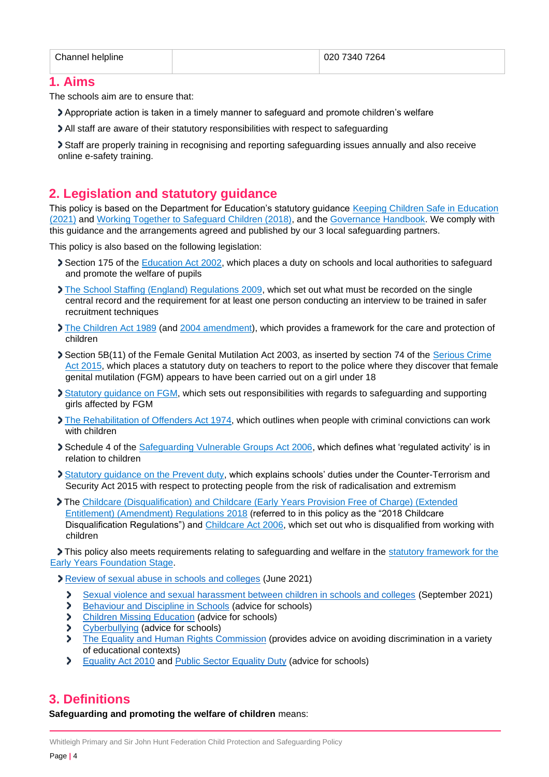| Channel helpline | 020 7340 7264 |
|------------------|---------------|
|                  |               |

## <span id="page-3-0"></span>**1. Aims**

The schools aim are to ensure that:

- Appropriate action is taken in a timely manner to safeguard and promote children's welfare
- All staff are aware of their statutory responsibilities with respect to safeguarding

Staff are properly training in recognising and reporting safeguarding issues annually and also receive online e-safety training.

## <span id="page-3-1"></span>**2. Legislation and statutory guidance**

This policy is based on the Department for Education's statutory guidance [Keeping Children Safe in Education](https://www.gov.uk/government/publications/keeping-children-safe-in-education--2) [\(2021\)](https://www.gov.uk/government/publications/keeping-children-safe-in-education--2) [a](https://www.gov.uk/government/publications/keeping-children-safe-in-education--2)nd [Working Together to Safeguard Children \(2018\),](https://www.gov.uk/government/publications/working-together-to-safeguard-children--2) and the [Governance Handbook.](https://www.gov.uk/government/publications/governance-handbook) We comply with this guidance and the arrangements agreed and published by our 3 local safeguarding partners.

This policy is also based on the following legislation:

- Section 175 of the [Education Act 2002,](http://www.legislation.gov.uk/ukpga/2002/32/section/175) which places a duty on schools and local authorities to safeguard and promote the welfare of pupils
- [The School Staffing \(England\) Regulations 2009,](http://www.legislation.gov.uk/uksi/2009/2680/contents/made) which set out what must be recorded on the single central record and the requirement for at least one person conducting an interview to be trained in safer recruitment techniques
- [The Children Act 1989](http://www.legislation.gov.uk/ukpga/1989/41) (and [2004 amendment\),](http://www.legislation.gov.uk/ukpga/2004/31/contents) which provides a framework for the care and protection of children
- Section 5B(11) of the Female Genital Mutilation Act 2003, as inserted by section 74 of the [Serious Crime](http://www.legislation.gov.uk/ukpga/2015/9/part/5/crossheading/female-genital-mutilation) [Act 2015,](http://www.legislation.gov.uk/ukpga/2015/9/part/5/crossheading/female-genital-mutilation) which places a statutory duty on teachers to report to the police where they discover that female genital mutilation (FGM) appears to have been carried out on a girl under 18
- [Statutory guidance on FGM,](https://www.gov.uk/government/publications/multi-agency-statutory-guidance-on-female-genital-mutilation) which sets out responsibilities with regards to safeguarding and supporting girls affected by FGM
- [The Rehabilitation of Offenders Act 1974,](http://www.legislation.gov.uk/ukpga/1974/53) which outlines when people with criminal convictions can work with children
- Schedule 4 of the [Safeguarding Vulnerable Groups Act 2006,](http://www.legislation.gov.uk/ukpga/2006/47/schedule/4) which defines what 'regulated activity' is in relation to children
- [Statutory guidance on the Prevent duty,](https://www.gov.uk/government/publications/prevent-duty-guidance) which explains schools' duties under the Counter-Terrorism and Security Act 2015 with respect to protecting people from the risk of radicalisation and extremism
- The [Childcare \(Disqualification\) and Childcare \(Early Years Provision Free of Charge\) \(Extended](http://www.legislation.gov.uk/uksi/2018/794/contents/made) [Entitlement\) \(Amendment\) Regulations 2018](http://www.legislation.gov.uk/uksi/2018/794/contents/made) (referred to in this policy as the "2018 Childcare Disqualification Regulations") and [Childcare Act 2006,](http://www.legislation.gov.uk/ukpga/2006/21/contents) which set out who is disqualified from working with children

This policy also meets requirements relating to safeguarding and welfare in the [statutory framework for the](https://www.gov.uk/government/publications/early-years-foundation-stage-framework--2) [Early Years Foundation Stage.](https://www.gov.uk/government/publications/early-years-foundation-stage-framework--2)

[Review of sexual abuse in schools and colleges](https://www.gov.uk/government/publications/review-of-sexual-abuse-in-schools-and-colleges/review-of-sexual-abuse-in-schools-and-colleges) (June 2021)

- ×. [Sexual violence and sexual harassment between children in schools and colleges](https://assets.publishing.service.gov.uk/government/uploads/system/uploads/attachment_data/file/1014224/Sexual_violence_and_sexual_harassment_between_children_in_schools_and_colleges.pdf) (September 2021)
- ×. [Behaviour and Discipline in Schools](https://www.gov.uk/government/publications/behaviour-and-discipline-in-schools) (advice for schools)
- $\mathbf{z}$ **[Children Missing Education](https://www.gov.uk/government/publications/children-missing-education) (advice for schools)**
- [Cyberbullying](https://assets.publishing.service.gov.uk/government/uploads/system/uploads/attachment_data/file/374850/Cyberbullying_Advice_for_Headteachers_and_School_Staff_121114.pdf) (advice for schools)
- [The Equality and Human Rights Commission](https://www.equalityhumanrights.com/en/advice-and-guidance) (provides advice on avoiding discrimination in a variety of educational contexts)
- **[Equality Act 2010](https://www.equalityhumanrights.com/en/publication-download/equality-act-2010-technical-guidance-further-and-higher-education) and [Public Sector Equality Duty](https://www.equalityhumanrights.com/en/publication-download/public-sector-equality-duty-guidance-schools-england) (advice for schools)**

## <span id="page-3-2"></span>**3. Definitions**

**Safeguarding and promoting the welfare of children** means: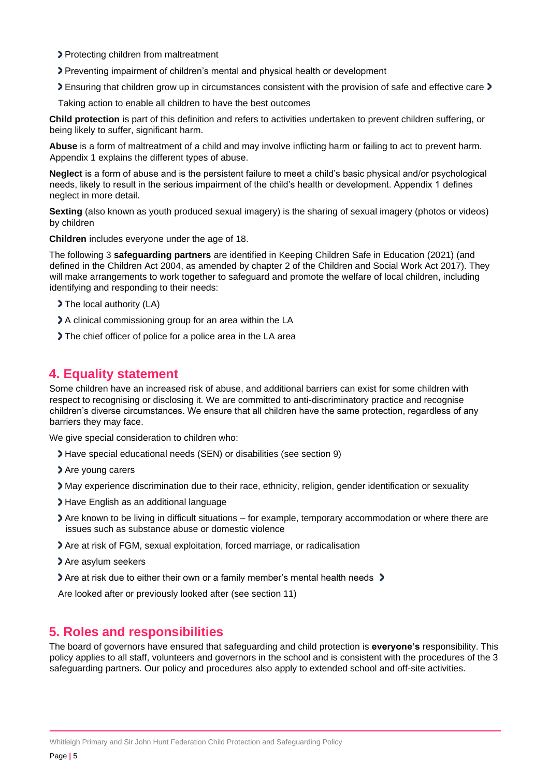> Protecting children from maltreatment

Preventing impairment of children's mental and physical health or development

**Ensuring that children grow up in circumstances consistent with the provision of safe and effective care >** 

Taking action to enable all children to have the best outcomes

**Child protection** is part of this definition and refers to activities undertaken to prevent children suffering, or being likely to suffer, significant harm.

**Abuse** is a form of maltreatment of a child and may involve inflicting harm or failing to act to prevent harm. Appendix 1 explains the different types of abuse.

**Neglect** is a form of abuse and is the persistent failure to meet a child's basic physical and/or psychological needs, likely to result in the serious impairment of the child's health or development. Appendix 1 defines neglect in more detail.

**Sexting** (also known as youth produced sexual imagery) is the sharing of sexual imagery (photos or videos) by children

**Children** includes everyone under the age of 18.

The following 3 **safeguarding partners** are identified in Keeping Children Safe in Education (2021) (and defined in the Children Act 2004, as amended by chapter 2 of the Children and Social Work Act 2017). They will make arrangements to work together to safeguard and promote the welfare of local children, including identifying and responding to their needs:

> The local authority (LA)

- A clinical commissioning group for an area within the LA
- The chief officer of police for a police area in the LA area

## <span id="page-4-0"></span>**4. Equality statement**

Some children have an increased risk of abuse, and additional barriers can exist for some children with respect to recognising or disclosing it. We are committed to anti-discriminatory practice and recognise children's diverse circumstances. We ensure that all children have the same protection, regardless of any barriers they may face.

We give special consideration to children who:

- Have special educational needs (SEN) or disabilities (see section 9)
- > Are young carers
- May experience discrimination due to their race, ethnicity, religion, gender identification or sexuality
- Have English as an additional language
- Are known to be living in difficult situations for example, temporary accommodation or where there are issues such as substance abuse or domestic violence
- Are at risk of FGM, sexual exploitation, forced marriage, or radicalisation
- > Are asylum seekers
- Are at risk due to either their own or a family member's mental health needs >

Are looked after or previously looked after (see section 11)

## <span id="page-4-1"></span>**5. Roles and responsibilities**

The board of governors have ensured that safeguarding and child protection is **everyone's** responsibility. This policy applies to all staff, volunteers and governors in the school and is consistent with the procedures of the 3 safeguarding partners. Our policy and procedures also apply to extended school and off-site activities.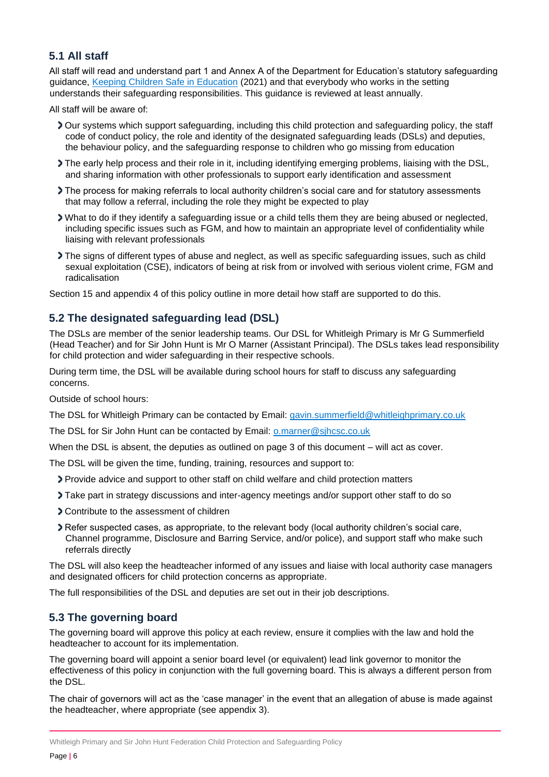## **5.1 All staff**

All staff will read and understand part 1 and Annex A of the Department for Education's statutory safeguarding guidance, [Keeping Children Safe in Education](https://www.gov.uk/government/publications/keeping-children-safe-in-education--2) (2021) and that everybody who works in the setting understands their safeguarding responsibilities. This guidance is reviewed at least annually.

All staff will be aware of:

- Our systems which support safeguarding, including this child protection and safeguarding policy, the staff code of conduct policy, the role and identity of the designated safeguarding leads (DSLs) and deputies, the behaviour policy, and the safeguarding response to children who go missing from education
- The early help process and their role in it, including identifying emerging problems, liaising with the DSL, and sharing information with other professionals to support early identification and assessment
- The process for making referrals to local authority children's social care and for statutory assessments that may follow a referral, including the role they might be expected to play
- What to do if they identify a safeguarding issue or a child tells them they are being abused or neglected, including specific issues such as FGM, and how to maintain an appropriate level of confidentiality while liaising with relevant professionals
- The signs of different types of abuse and neglect, as well as specific safeguarding issues, such as child sexual exploitation (CSE), indicators of being at risk from or involved with serious violent crime, FGM and radicalisation

Section 15 and appendix 4 of this policy outline in more detail how staff are supported to do this.

## **5.2 The designated safeguarding lead (DSL)**

The DSLs are member of the senior leadership teams. Our DSL for Whitleigh Primary is Mr G Summerfield (Head Teacher) and for Sir John Hunt is Mr O Marner (Assistant Principal). The DSLs takes lead responsibility for child protection and wider safeguarding in their respective schools.

During term time, the DSL will be available during school hours for staff to discuss any safeguarding concerns.

Outside of school hours:

The DSL for Whitleigh Primary can be contacted by Email: gavin.summerfield@whitleighprimary.co.uk

The DSL for Sir John Hunt can be contacted by Email: o.marner@sjhcsc.co.uk

When the DSL is absent, the deputies as outlined on page 3 of this document – will act as cover.

The DSL will be given the time, funding, training, resources and support to:

- Provide advice and support to other staff on child welfare and child protection matters
- Take part in strategy discussions and inter-agency meetings and/or support other staff to do so
- Contribute to the assessment of children
- Refer suspected cases, as appropriate, to the relevant body (local authority children's social care, Channel programme, Disclosure and Barring Service, and/or police), and support staff who make such referrals directly

The DSL will also keep the headteacher informed of any issues and liaise with local authority case managers and designated officers for child protection concerns as appropriate.

The full responsibilities of the DSL and deputies are set out in their job descriptions.

## **5.3 The governing board**

The governing board will approve this policy at each review, ensure it complies with the law and hold the headteacher to account for its implementation.

The governing board will appoint a senior board level (or equivalent) lead link governor to monitor the effectiveness of this policy in conjunction with the full governing board. This is always a different person from the DSL.

The chair of governors will act as the 'case manager' in the event that an allegation of abuse is made against the headteacher, where appropriate (see appendix 3).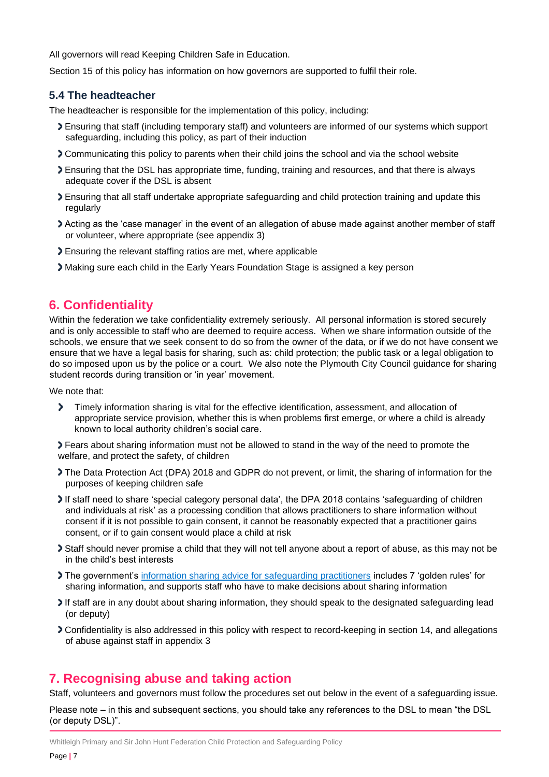All governors will read Keeping Children Safe in Education.

Section 15 of this policy has information on how governors are supported to fulfil their role.

#### **5.4 The headteacher**

The headteacher is responsible for the implementation of this policy, including:

- Ensuring that staff (including temporary staff) and volunteers are informed of our systems which support safeguarding, including this policy, as part of their induction
- Communicating this policy to parents when their child joins the school and via the school website
- Ensuring that the DSL has appropriate time, funding, training and resources, and that there is always adequate cover if the DSL is absent
- Ensuring that all staff undertake appropriate safeguarding and child protection training and update this regularly
- Acting as the 'case manager' in the event of an allegation of abuse made against another member of staff or volunteer, where appropriate (see appendix 3)
- Ensuring the relevant staffing ratios are met, where applicable
- Making sure each child in the Early Years Foundation Stage is assigned a key person

## <span id="page-6-0"></span>**6. Confidentiality**

Within the federation we take confidentiality extremely seriously. All personal information is stored securely and is only accessible to staff who are deemed to require access. When we share information outside of the schools, we ensure that we seek consent to do so from the owner of the data, or if we do not have consent we ensure that we have a legal basis for sharing, such as: child protection; the public task or a legal obligation to do so imposed upon us by the police or a court. We also note the Plymouth City Council guidance for sharing student records during transition or 'in year' movement.

We note that:

Timely information sharing is vital for the effective identification, assessment, and allocation of appropriate service provision, whether this is when problems first emerge, or where a child is already known to local authority children's social care.

Fears about sharing information must not be allowed to stand in the way of the need to promote the welfare, and protect the safety, of children

- The Data Protection Act (DPA) 2018 and GDPR do not prevent, or limit, the sharing of information for the purposes of keeping children safe
- If staff need to share 'special category personal data', the DPA 2018 contains 'safeguarding of children and individuals at risk' as a processing condition that allows practitioners to share information without consent if it is not possible to gain consent, it cannot be reasonably expected that a practitioner gains consent, or if to gain consent would place a child at risk
- Staff should never promise a child that they will not tell anyone about a report of abuse, as this may not be in the child's best interests
- The government's [information sharing advice for safeguarding practitioners](https://www.gov.uk/government/publications/safeguarding-practitioners-information-sharing-advice) [in](https://www.gov.uk/government/publications/safeguarding-practitioners-information-sharing-advice)cludes 7 'golden rules' for sharing information, and supports staff who have to make decisions about sharing information
- If staff are in any doubt about sharing information, they should speak to the designated safeguarding lead (or deputy)
- Confidentiality is also addressed in this policy with respect to record-keeping in section 14, and allegations of abuse against staff in appendix 3

## <span id="page-6-1"></span>**7. Recognising abuse and taking action**

Staff, volunteers and governors must follow the procedures set out below in the event of a safeguarding issue.

Please note – in this and subsequent sections, you should take any references to the DSL to mean "the DSL (or deputy DSL)".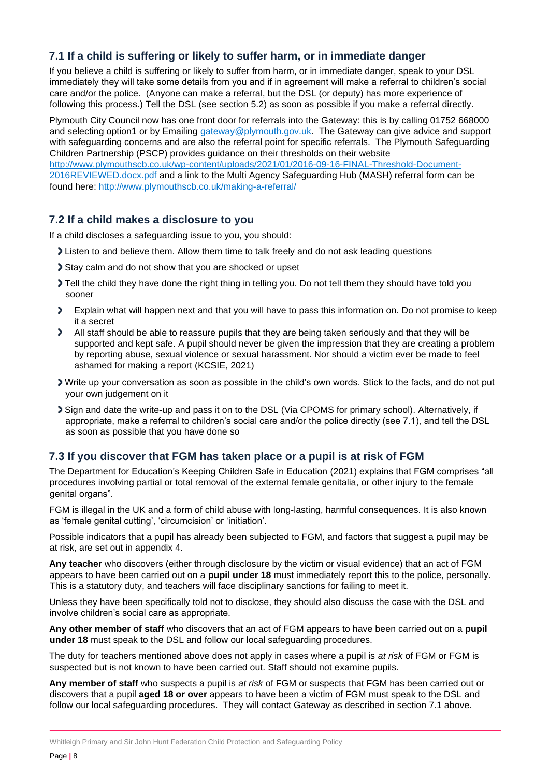## **7.1 If a child is suffering or likely to suffer harm, or in immediate danger**

If you believe a child is suffering or likely to suffer from harm, or in immediate danger, speak to your DSL immediately they will take some details from you and if in agreement will make a referral to children's social care and/or the police. (Anyone can make a referral, but the DSL (or deputy) has more experience of following this process.) Tell the DSL (see section 5.2) as soon as possible if you make a referral directly.

Plymouth City Council now has one front door for referrals into the Gateway: this is by calling 01752 668000 and selecting option1 or by Emailing gateway@plymouth.gov.uk. The Gateway can give advice and support with safeguarding concerns and are also the referral point for specific referrals. The Plymouth Safeguarding Children Partnership (PSCP) provides guidance on their thresholds on their website [http://www.plymouthscb.co.uk/wp-content/uploads/2021/01/2016-09-16-FINAL-Threshold-Document-](http://www.plymouthscb.co.uk/wp-content/uploads/2021/01/2016-09-16-FINAL-Threshold-Document-2016-REVIEWED.docx.pdf)[2016REVIEWED.docx.pdf](http://www.plymouthscb.co.uk/wp-content/uploads/2021/01/2016-09-16-FINAL-Threshold-Document-2016-REVIEWED.docx.pdf) [a](http://www.plymouthscb.co.uk/wp-content/uploads/2021/01/2016-09-16-FINAL-Threshold-Document-2016-REVIEWED.docx.pdf)nd a link to the Multi Agency Safeguarding Hub (MASH) referral form can be found here: <http://www.plymouthscb.co.uk/making-a-referral/>

## **7.2 If a child makes a disclosure to you**

If a child discloses a safeguarding issue to you, you should:

- Listen to and believe them. Allow them time to talk freely and do not ask leading questions
- Stay calm and do not show that you are shocked or upset
- Tell the child they have done the right thing in telling you. Do not tell them they should have told you sooner
- ×. Explain what will happen next and that you will have to pass this information on. Do not promise to keep it a secret
- All staff should be able to reassure pupils that they are being taken seriously and that they will be У supported and kept safe. A pupil should never be given the impression that they are creating a problem by reporting abuse, sexual violence or sexual harassment. Nor should a victim ever be made to feel ashamed for making a report (KCSIE, 2021)
- Write up your conversation as soon as possible in the child's own words. Stick to the facts, and do not put your own judgement on it
- Sign and date the write-up and pass it on to the DSL (Via CPOMS for primary school). Alternatively, if appropriate, make a referral to children's social care and/or the police directly (see 7.1), and tell the DSL as soon as possible that you have done so

## **7.3 If you discover that FGM has taken place or a pupil is at risk of FGM**

The Department for Education's Keeping Children Safe in Education (2021) explains that FGM comprises "all procedures involving partial or total removal of the external female genitalia, or other injury to the female genital organs".

FGM is illegal in the UK and a form of child abuse with long-lasting, harmful consequences. It is also known as 'female genital cutting', 'circumcision' or 'initiation'.

Possible indicators that a pupil has already been subjected to FGM, and factors that suggest a pupil may be at risk, are set out in appendix 4.

**Any teacher** who discovers (either through disclosure by the victim or visual evidence) that an act of FGM appears to have been carried out on a **pupil under 18** must immediately report this to the police, personally. This is a statutory duty, and teachers will face disciplinary sanctions for failing to meet it.

Unless they have been specifically told not to disclose, they should also discuss the case with the DSL and involve children's social care as appropriate.

**Any other member of staff** who discovers that an act of FGM appears to have been carried out on a **pupil under 18** must speak to the DSL and follow our local safeguarding procedures.

The duty for teachers mentioned above does not apply in cases where a pupil is *at risk* of FGM or FGM is suspected but is not known to have been carried out. Staff should not examine pupils.

**Any member of staff** who suspects a pupil is *at risk* of FGM or suspects that FGM has been carried out or discovers that a pupil **aged 18 or over** appears to have been a victim of FGM must speak to the DSL and follow our local safeguarding procedures. They will contact Gateway as described in section 7.1 above.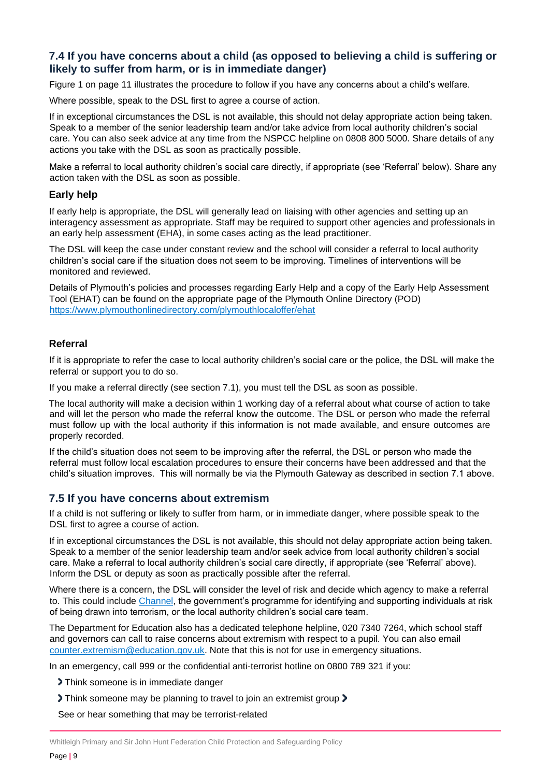## **7.4 If you have concerns about a child (as opposed to believing a child is suffering or likely to suffer from harm, or is in immediate danger)**

Figure 1 on page 11 illustrates the procedure to follow if you have any concerns about a child's welfare.

Where possible, speak to the DSL first to agree a course of action.

If in exceptional circumstances the DSL is not available, this should not delay appropriate action being taken. Speak to a member of the senior leadership team and/or take advice from local authority children's social care. You can also seek advice at any time from the NSPCC helpline on 0808 800 5000. Share details of any actions you take with the DSL as soon as practically possible.

Make a referral to local authority children's social care directly, if appropriate (see 'Referral' below). Share any action taken with the DSL as soon as possible.

#### **Early help**

If early help is appropriate, the DSL will generally lead on liaising with other agencies and setting up an interagency assessment as appropriate. Staff may be required to support other agencies and professionals in an early help assessment (EHA), in some cases acting as the lead practitioner.

The DSL will keep the case under constant review and the school will consider a referral to local authority children's social care if the situation does not seem to be improving. Timelines of interventions will be monitored and reviewed.

Details of Plymouth's policies and processes regarding Early Help and a copy of the Early Help Assessment Tool (EHAT) can be found on the appropriate page of the Plymouth Online Directory (POD) <https://www.plymouthonlinedirectory.com/plymouthlocaloffer/ehat>

#### **Referral**

If it is appropriate to refer the case to local authority children's social care or the police, the DSL will make the referral or support you to do so.

If you make a referral directly (see section 7.1), you must tell the DSL as soon as possible.

The local authority will make a decision within 1 working day of a referral about what course of action to take and will let the person who made the referral know the outcome. The DSL or person who made the referral must follow up with the local authority if this information is not made available, and ensure outcomes are properly recorded.

If the child's situation does not seem to be improving after the referral, the DSL or person who made the referral must follow local escalation procedures to ensure their concerns have been addressed and that the child's situation improves. This will normally be via the Plymouth Gateway as described in section 7.1 above.

#### **7.5 If you have concerns about extremism**

If a child is not suffering or likely to suffer from harm, or in immediate danger, where possible speak to the DSL first to agree a course of action.

If in exceptional circumstances the DSL is not available, this should not delay appropriate action being taken. Speak to a member of the senior leadership team and/or seek advice from local authority children's social care. Make a referral to local authority children's social care directly, if appropriate (see 'Referral' above). Inform the DSL or deputy as soon as practically possible after the referral.

Where there is a concern, the DSL will consider the level of risk and decide which agency to make a referral to. This could include [Channel,](https://www.gov.uk/government/publications/channel-guidance) the government's programme for identifying and supporting individuals at risk of being drawn into terrorism, or the local authority children's social care team.

The Department for Education also has a dedicated telephone helpline, 020 7340 7264, which school staff and governors can call to raise concerns about extremism with respect to a pupil. You can also email counter.extremism@education.gov.uk. Note that this is not for use in emergency situations.

In an emergency, call 999 or the confidential anti-terrorist hotline on 0800 789 321 if you:

> Think someone is in immediate danger

**Think someone may be planning to travel to join an extremist group >** 

See or hear something that may be terrorist-related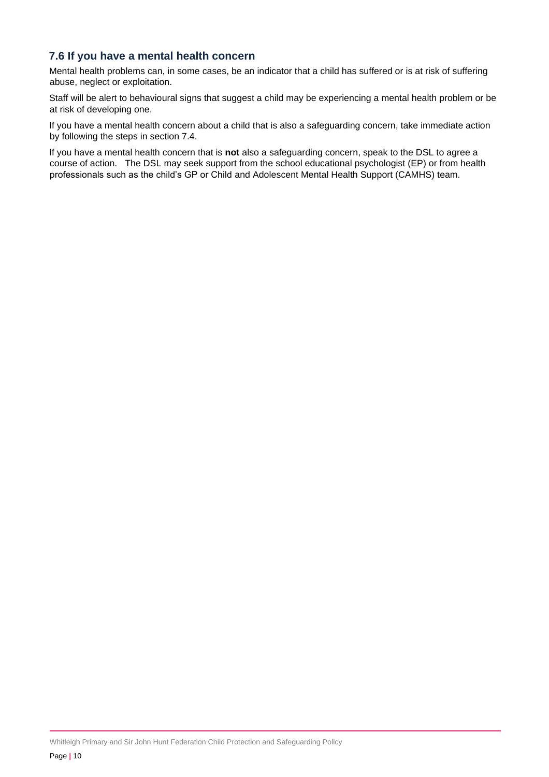## **7.6 If you have a mental health concern**

Mental health problems can, in some cases, be an indicator that a child has suffered or is at risk of suffering abuse, neglect or exploitation.

Staff will be alert to behavioural signs that suggest a child may be experiencing a mental health problem or be at risk of developing one.

If you have a mental health concern about a child that is also a safeguarding concern, take immediate action by following the steps in section 7.4.

If you have a mental health concern that is **not** also a safeguarding concern, speak to the DSL to agree a course of action. The DSL may seek support from the school educational psychologist (EP) or from health professionals such as the child's GP or Child and Adolescent Mental Health Support (CAMHS) team.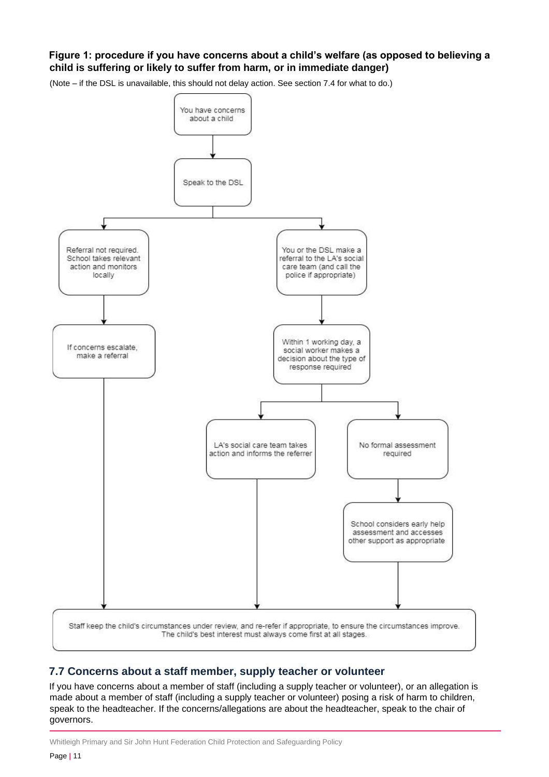### **Figure 1: procedure if you have concerns about a child's welfare (as opposed to believing a child is suffering or likely to suffer from harm, or in immediate danger)**

(Note – if the DSL is unavailable, this should not delay action. See section 7.4 for what to do.)



## **7.7 Concerns about a staff member, supply teacher or volunteer**

If you have concerns about a member of staff (including a supply teacher or volunteer), or an allegation is made about a member of staff (including a supply teacher or volunteer) posing a risk of harm to children, speak to the headteacher. If the concerns/allegations are about the headteacher, speak to the chair of governors.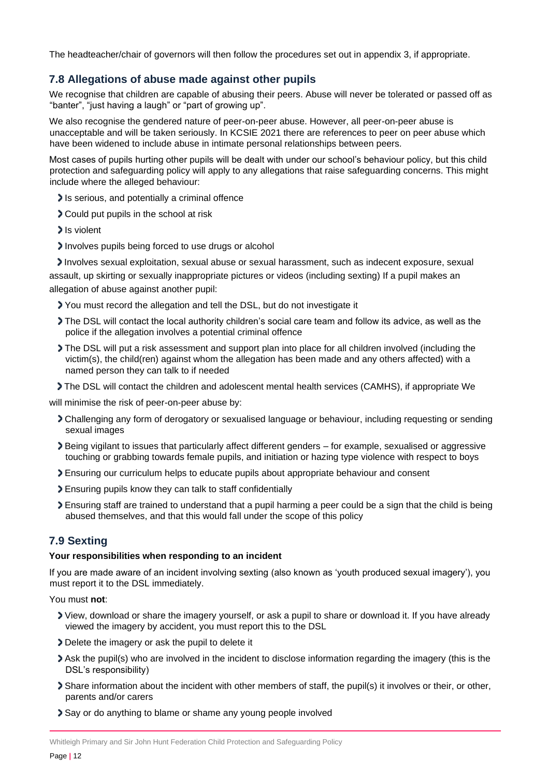The headteacher/chair of governors will then follow the procedures set out in appendix 3, if appropriate.

## **7.8 Allegations of abuse made against other pupils**

We recognise that children are capable of abusing their peers. Abuse will never be tolerated or passed off as "banter", "just having a laugh" or "part of growing up".

We also recognise the gendered nature of peer-on-peer abuse. However, all peer-on-peer abuse is unacceptable and will be taken seriously. In KCSIE 2021 there are references to peer on peer abuse which have been widened to include abuse in intimate personal relationships between peers*.*

Most cases of pupils hurting other pupils will be dealt with under our school's behaviour policy, but this child protection and safeguarding policy will apply to any allegations that raise safeguarding concerns. This might include where the alleged behaviour:

- Is serious, and potentially a criminal offence
- Could put pupils in the school at risk
- > Is violent
- Involves pupils being forced to use drugs or alcohol

Involves sexual exploitation, sexual abuse or sexual harassment, such as indecent exposure, sexual assault, up skirting or sexually inappropriate pictures or videos (including sexting) If a pupil makes an allegation of abuse against another pupil:

- You must record the allegation and tell the DSL, but do not investigate it
- The DSL will contact the local authority children's social care team and follow its advice, as well as the police if the allegation involves a potential criminal offence
- The DSL will put a risk assessment and support plan into place for all children involved (including the victim(s), the child(ren) against whom the allegation has been made and any others affected) with a named person they can talk to if needed
- The DSL will contact the children and adolescent mental health services (CAMHS), if appropriate We

will minimise the risk of peer-on-peer abuse by:

- Challenging any form of derogatory or sexualised language or behaviour, including requesting or sending sexual images
- Being vigilant to issues that particularly affect different genders for example, sexualised or aggressive touching or grabbing towards female pupils, and initiation or hazing type violence with respect to boys
- Ensuring our curriculum helps to educate pupils about appropriate behaviour and consent
- Ensuring pupils know they can talk to staff confidentially
- Ensuring staff are trained to understand that a pupil harming a peer could be a sign that the child is being abused themselves, and that this would fall under the scope of this policy

## **7.9 Sexting**

#### **Your responsibilities when responding to an incident**

If you are made aware of an incident involving sexting (also known as 'youth produced sexual imagery'), you must report it to the DSL immediately.

You must **not**:

- View, download or share the imagery yourself, or ask a pupil to share or download it. If you have already viewed the imagery by accident, you must report this to the DSL
- Delete the imagery or ask the pupil to delete it
- Ask the pupil(s) who are involved in the incident to disclose information regarding the imagery (this is the DSL's responsibility)
- Share information about the incident with other members of staff, the pupil(s) it involves or their, or other, parents and/or carers
- Say or do anything to blame or shame any young people involved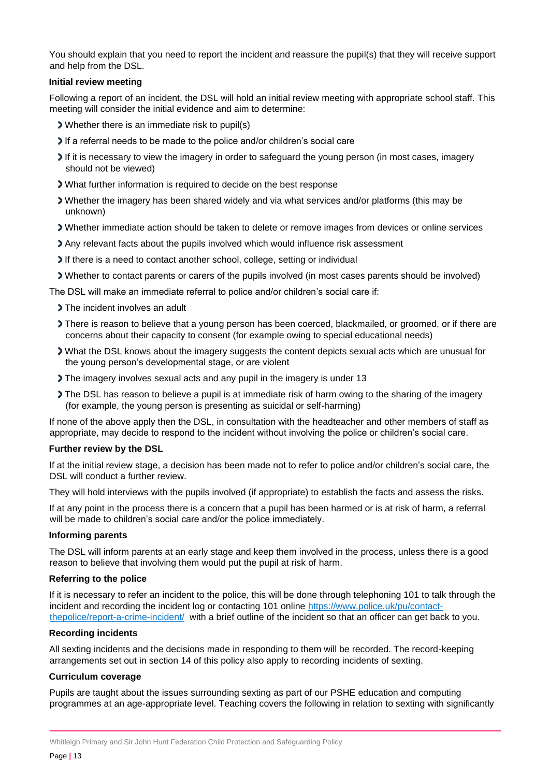You should explain that you need to report the incident and reassure the pupil(s) that they will receive support and help from the DSL.

#### **Initial review meeting**

Following a report of an incident, the DSL will hold an initial review meeting with appropriate school staff. This meeting will consider the initial evidence and aim to determine:

- Whether there is an immediate risk to pupil(s)
- If a referral needs to be made to the police and/or children's social care
- If it is necessary to view the imagery in order to safeguard the young person (in most cases, imagery should not be viewed)
- What further information is required to decide on the best response
- Whether the imagery has been shared widely and via what services and/or platforms (this may be unknown)
- Whether immediate action should be taken to delete or remove images from devices or online services
- Any relevant facts about the pupils involved which would influence risk assessment
- If there is a need to contact another school, college, setting or individual
- Whether to contact parents or carers of the pupils involved (in most cases parents should be involved)

The DSL will make an immediate referral to police and/or children's social care if:

- > The incident involves an adult
- > There is reason to believe that a young person has been coerced, blackmailed, or groomed, or if there are concerns about their capacity to consent (for example owing to special educational needs)
- What the DSL knows about the imagery suggests the content depicts sexual acts which are unusual for the young person's developmental stage, or are violent
- The imagery involves sexual acts and any pupil in the imagery is under 13
- The DSL has reason to believe a pupil is at immediate risk of harm owing to the sharing of the imagery (for example, the young person is presenting as suicidal or self-harming)

If none of the above apply then the DSL, in consultation with the headteacher and other members of staff as appropriate, may decide to respond to the incident without involving the police or children's social care.

#### **Further review by the DSL**

If at the initial review stage, a decision has been made not to refer to police and/or children's social care, the DSL will conduct a further review.

They will hold interviews with the pupils involved (if appropriate) to establish the facts and assess the risks.

If at any point in the process there is a concern that a pupil has been harmed or is at risk of harm, a referral will be made to children's social care and/or the police immediately.

#### **Informing parents**

The DSL will inform parents at an early stage and keep them involved in the process, unless there is a good reason to believe that involving them would put the pupil at risk of harm.

#### **Referring to the police**

If it is necessary to refer an incident to the police, this will be done through telephoning 101 to talk through the incident and recording the incident log or contacting 101 online [https://www.police.uk/pu/contact](https://www.police.uk/pu/contact-the-police/report-a-crime-incident/)[thepolice/report-a-crime-incident/](https://www.police.uk/pu/contact-the-police/report-a-crime-incident/) with a brief outline of the incident so that an officer can get back to you.

#### **Recording incidents**

All sexting incidents and the decisions made in responding to them will be recorded. The record-keeping arrangements set out in section 14 of this policy also apply to recording incidents of sexting.

#### **Curriculum coverage**

Pupils are taught about the issues surrounding sexting as part of our PSHE education and computing programmes at an age-appropriate level. Teaching covers the following in relation to sexting with significantly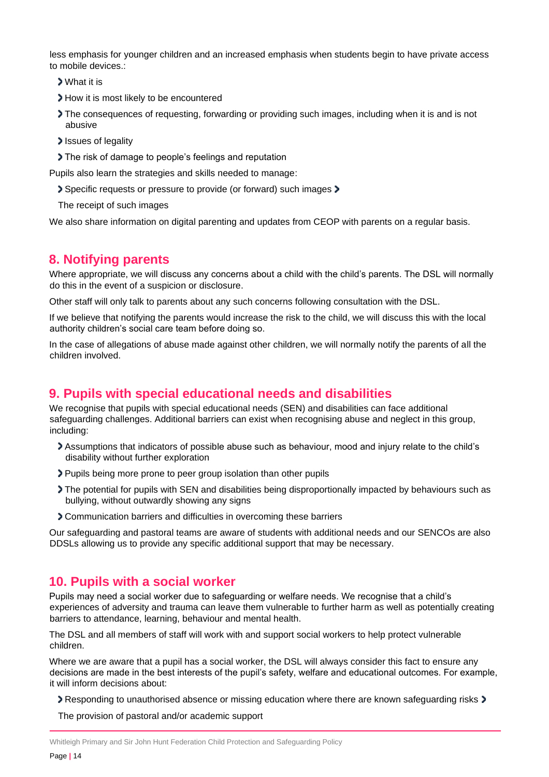less emphasis for younger children and an increased emphasis when students begin to have private access to mobile devices.:

- **>** What it is
- How it is most likely to be encountered
- The consequences of requesting, forwarding or providing such images, including when it is and is not abusive
- Issues of legality
- The risk of damage to people's feelings and reputation

Pupils also learn the strategies and skills needed to manage:

- Specific requests or pressure to provide (or forward) such images >
- The receipt of such images

We also share information on digital parenting and updates from CEOP with parents on a regular basis.

## <span id="page-13-0"></span>**8. Notifying parents**

Where appropriate, we will discuss any concerns about a child with the child's parents. The DSL will normally do this in the event of a suspicion or disclosure.

Other staff will only talk to parents about any such concerns following consultation with the DSL.

If we believe that notifying the parents would increase the risk to the child, we will discuss this with the local authority children's social care team before doing so.

In the case of allegations of abuse made against other children, we will normally notify the parents of all the children involved.

## <span id="page-13-1"></span>**9. Pupils with special educational needs and disabilities**

We recognise that pupils with special educational needs (SEN) and disabilities can face additional safeguarding challenges. Additional barriers can exist when recognising abuse and neglect in this group, including:

- Assumptions that indicators of possible abuse such as behaviour, mood and injury relate to the child's disability without further exploration
- Pupils being more prone to peer group isolation than other pupils
- The potential for pupils with SEN and disabilities being disproportionally impacted by behaviours such as bullying, without outwardly showing any signs
- Communication barriers and difficulties in overcoming these barriers

Our safeguarding and pastoral teams are aware of students with additional needs and our SENCOs are also DDSLs allowing us to provide any specific additional support that may be necessary.

## <span id="page-13-2"></span>**10. Pupils with a social worker**

Pupils may need a social worker due to safeguarding or welfare needs. We recognise that a child's experiences of adversity and trauma can leave them vulnerable to further harm as well as potentially creating barriers to attendance, learning, behaviour and mental health.

The DSL and all members of staff will work with and support social workers to help protect vulnerable children.

Where we are aware that a pupil has a social worker, the DSL will always consider this fact to ensure any decisions are made in the best interests of the pupil's safety, welfare and educational outcomes. For example, it will inform decisions about:

**> Responding to unauthorised absence or missing education where there are known safeguarding risks >** 

The provision of pastoral and/or academic support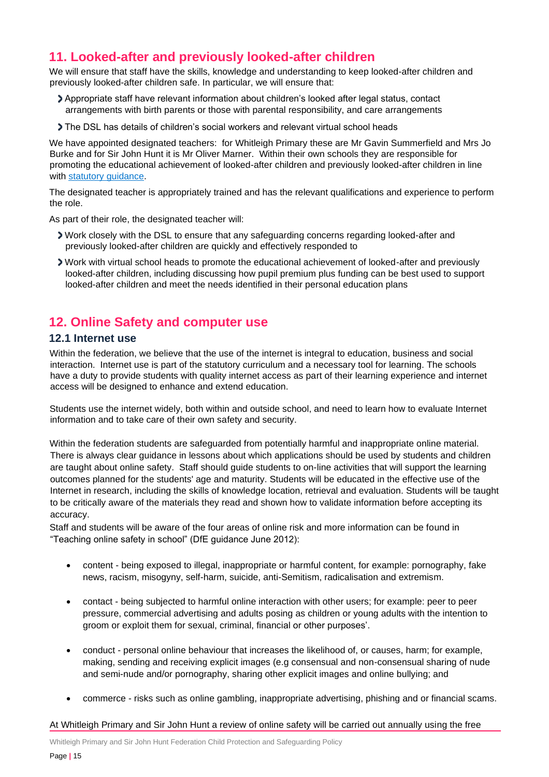# <span id="page-14-0"></span>**11. Looked-after and previously looked-after children**

We will ensure that staff have the skills, knowledge and understanding to keep looked-after children and previously looked-after children safe. In particular, we will ensure that:

- Appropriate staff have relevant information about children's looked after legal status, contact arrangements with birth parents or those with parental responsibility, and care arrangements
- The DSL has details of children's social workers and relevant virtual school heads

We have appointed designated teachers: for Whitleigh Primary these are Mr Gavin Summerfield and Mrs Jo Burke and for Sir John Hunt it is Mr Oliver Marner. Within their own schools they are responsible for promoting the educational achievement of looked-after children and previously looked-after children in line with [statutory guidance.](https://www.gov.uk/government/publications/designated-teacher-for-looked-after-children) 

The designated teacher is appropriately trained and has the relevant qualifications and experience to perform the role.

As part of their role, the designated teacher will:

- Work closely with the DSL to ensure that any safeguarding concerns regarding looked-after and previously looked-after children are quickly and effectively responded to
- Work with virtual school heads to promote the educational achievement of looked-after and previously looked-after children, including discussing how pupil premium plus funding can be best used to support looked-after children and meet the needs identified in their personal education plans

## <span id="page-14-1"></span>**12. Online Safety and computer use**

#### **12.1 Internet use**

Within the federation, we believe that the use of the internet is integral to education, business and social interaction. Internet use is part of the statutory curriculum and a necessary tool for learning. The schools have a duty to provide students with quality internet access as part of their learning experience and internet access will be designed to enhance and extend education.

Students use the internet widely, both within and outside school, and need to learn how to evaluate Internet information and to take care of their own safety and security.

Within the federation students are safeguarded from potentially harmful and inappropriate online material. There is always clear guidance in lessons about which applications should be used by students and children are taught about online safety. Staff should guide students to on-line activities that will support the learning outcomes planned for the students' age and maturity. Students will be educated in the effective use of the Internet in research, including the skills of knowledge location, retrieval and evaluation. Students will be taught to be critically aware of the materials they read and shown how to validate information before accepting its accuracy.

Staff and students will be aware of the four areas of online risk and more information can be found in "Teaching online safety in school" (DfE guidance June 2012):

- content being exposed to illegal, inappropriate or harmful content, for example: pornography, fake news, racism, misogyny, self-harm, suicide, anti-Semitism, radicalisation and extremism.
- contact being subjected to harmful online interaction with other users; for example: peer to peer pressure, commercial advertising and adults posing as children or young adults with the intention to groom or exploit them for sexual, criminal, financial or other purposes'.
- conduct personal online behaviour that increases the likelihood of, or causes, harm; for example, making, sending and receiving explicit images (e.g consensual and non-consensual sharing of nude and semi-nude and/or pornography, sharing other explicit images and online bullying; and
- commerce risks such as online gambling, inappropriate advertising, phishing and or financial scams.

At Whitleigh Primary and Sir John Hunt a review of online safety will be carried out annually using the free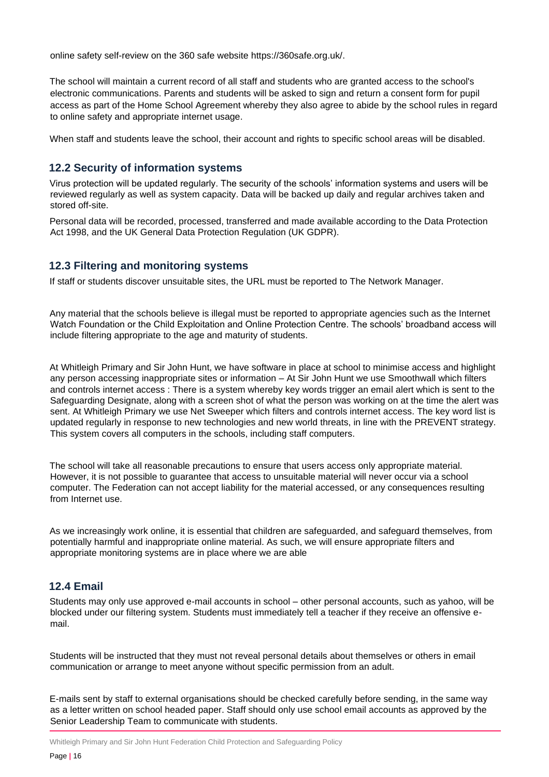online safety self-review on the 360 safe website [https://360safe.org.uk/.](https://360safe.org.uk/) 

The school will maintain a current record of all staff and students who are granted access to the school's electronic communications. Parents and students will be asked to sign and return a consent form for pupil access as part of the Home School Agreement whereby they also agree to abide by the school rules in regard to online safety and appropriate internet usage.

When staff and students leave the school, their account and rights to specific school areas will be disabled.

## **12.2 Security of information systems**

Virus protection will be updated regularly. The security of the schools' information systems and users will be reviewed regularly as well as system capacity. Data will be backed up daily and regular archives taken and stored off-site.

Personal data will be recorded, processed, transferred and made available according to the Data Protection Act 1998, and the UK General Data Protection Regulation (UK GDPR).

## **12.3 Filtering and monitoring systems**

If staff or students discover unsuitable sites, the URL must be reported to The Network Manager.

Any material that the schools believe is illegal must be reported to appropriate agencies such as the Internet Watch Foundation or the Child Exploitation and Online Protection Centre. The schools' broadband access will include filtering appropriate to the age and maturity of students.

At Whitleigh Primary and Sir John Hunt, we have software in place at school to minimise access and highlight any person accessing inappropriate sites or information – At Sir John Hunt we use Smoothwall which filters and controls internet access : There is a system whereby key words trigger an email alert which is sent to the Safeguarding Designate, along with a screen shot of what the person was working on at the time the alert was sent. At Whitleigh Primary we use Net Sweeper which filters and controls internet access. The key word list is updated regularly in response to new technologies and new world threats, in line with the PREVENT strategy. This system covers all computers in the schools, including staff computers.

The school will take all reasonable precautions to ensure that users access only appropriate material. However, it is not possible to guarantee that access to unsuitable material will never occur via a school computer. The Federation can not accept liability for the material accessed, or any consequences resulting from Internet use.

As we increasingly work online, it is essential that children are safeguarded, and safeguard themselves, from potentially harmful and inappropriate online material. As such, we will ensure appropriate filters and appropriate monitoring systems are in place where we are able

#### **12.4 Email**

Students may only use approved e-mail accounts in school – other personal accounts, such as yahoo, will be blocked under our filtering system. Students must immediately tell a teacher if they receive an offensive email.

Students will be instructed that they must not reveal personal details about themselves or others in email communication or arrange to meet anyone without specific permission from an adult.

E-mails sent by staff to external organisations should be checked carefully before sending, in the same way as a letter written on school headed paper. Staff should only use school email accounts as approved by the Senior Leadership Team to communicate with students.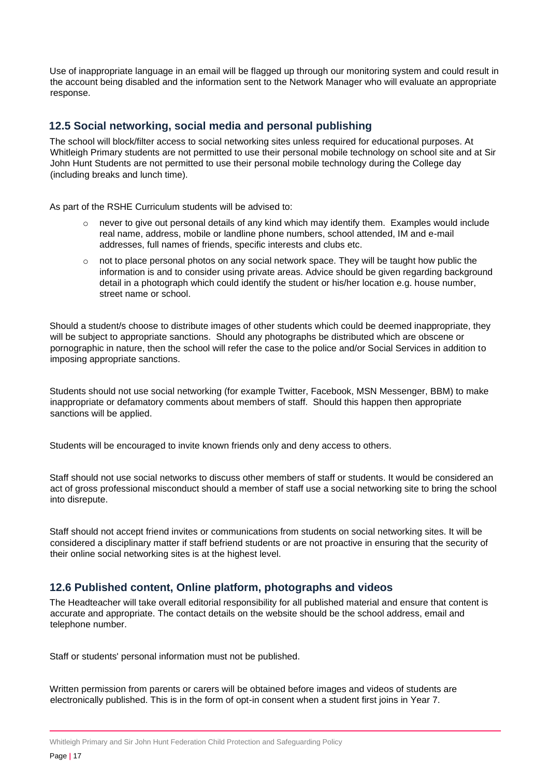Use of inappropriate language in an email will be flagged up through our monitoring system and could result in the account being disabled and the information sent to the Network Manager who will evaluate an appropriate response.

## **12.5 Social networking, social media and personal publishing**

The school will block/filter access to social networking sites unless required for educational purposes. At Whitleigh Primary students are not permitted to use their personal mobile technology on school site and at Sir John Hunt Students are not permitted to use their personal mobile technology during the College day (including breaks and lunch time).

As part of the RSHE Curriculum students will be advised to:

- $\circ$  never to give out personal details of any kind which may identify them. Examples would include real name, address, mobile or landline phone numbers, school attended, IM and e-mail addresses, full names of friends, specific interests and clubs etc.
- $\circ$  not to place personal photos on any social network space. They will be taught how public the information is and to consider using private areas. Advice should be given regarding background detail in a photograph which could identify the student or his/her location e.g. house number, street name or school.

Should a student/s choose to distribute images of other students which could be deemed inappropriate, they will be subject to appropriate sanctions. Should any photographs be distributed which are obscene or pornographic in nature, then the school will refer the case to the police and/or Social Services in addition to imposing appropriate sanctions.

Students should not use social networking (for example Twitter, Facebook, MSN Messenger, BBM) to make inappropriate or defamatory comments about members of staff. Should this happen then appropriate sanctions will be applied.

Students will be encouraged to invite known friends only and deny access to others.

Staff should not use social networks to discuss other members of staff or students. It would be considered an act of gross professional misconduct should a member of staff use a social networking site to bring the school into disrepute.

Staff should not accept friend invites or communications from students on social networking sites. It will be considered a disciplinary matter if staff befriend students or are not proactive in ensuring that the security of their online social networking sites is at the highest level.

#### **12.6 Published content, Online platform, photographs and videos**

The Headteacher will take overall editorial responsibility for all published material and ensure that content is accurate and appropriate. The contact details on the website should be the school address, email and telephone number.

Staff or students' personal information must not be published.

Written permission from parents or carers will be obtained before images and videos of students are electronically published. This is in the form of opt-in consent when a student first joins in Year 7.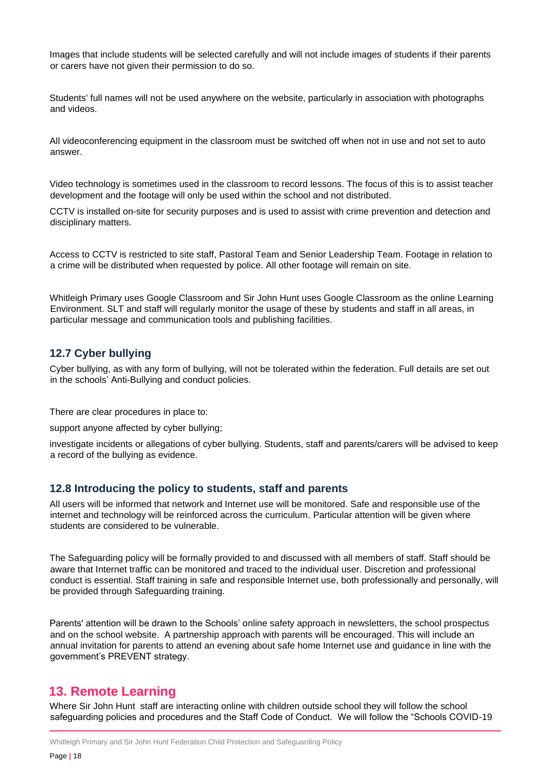Images that include students will be selected carefully and will not include images of students if their parents or carers have not given their permission to do so.

Students' full names will not be used anywhere on the website, particularly in association with photographs and videos.

All videoconferencing equipment in the classroom must be switched off when not in use and not set to auto answer.

Video technology is sometimes used in the classroom to record lessons. The focus of this is to assist teacher development and the footage will only be used within the school and not distributed.

CCTV is installed on-site for security purposes and is used to assist with crime prevention and detection and disciplinary matters.

Access to CCTV is restricted to site staff, Pastoral Team and Senior Leadership Team. Footage in relation to a crime will be distributed when requested by police. All other footage will remain on site.

Whitleigh Primary uses Google Classroom and Sir John Hunt uses Google Classroom as the online Learning Environment. SLT and staff will regularly monitor the usage of these by students and staff in all areas, in particular message and communication tools and publishing facilities.

## **12.7 Cyber bullying**

Cyber bullying, as with any form of bullying, will not be tolerated within the federation. Full details are set out in the schools' Anti-Bullying and conduct policies.

There are clear procedures in place to:

support anyone affected by cyber bullying;

investigate incidents or allegations of cyber bullying. Students, staff and parents/carers will be advised to keep a record of the bullying as evidence.

#### **12.8 Introducing the policy to students, staff and parents**

All users will be informed that network and Internet use will be monitored. Safe and responsible use of the internet and technology will be reinforced across the curriculum. Particular attention will be given where students are considered to be vulnerable.

The Safeguarding policy will be formally provided to and discussed with all members of staff. Staff should be aware that Internet traffic can be monitored and traced to the individual user. Discretion and professional conduct is essential. Staff training in safe and responsible Internet use, both professionally and personally, will be provided through Safeguarding training.

Parents' attention will be drawn to the Schools' online safety approach in newsletters, the school prospectus and on the school website. A partnership approach with parents will be encouraged. This will include an annual invitation for parents to attend an evening about safe home Internet use and guidance in line with the government's PREVENT strategy.

## <span id="page-17-0"></span>**13. Remote Learning**

Where Sir John Hunt staff are interacting online with children outside school they will follow the school safeguarding policies and procedures and the Staff Code of Conduct. We will follow the "Schools COVID-19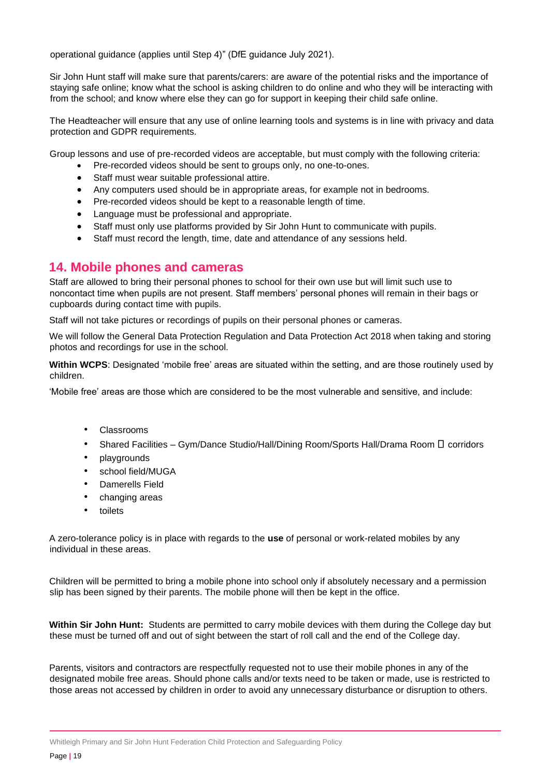operational guidance (applies until Step 4)" (DfE guidance July 2021).

Sir John Hunt staff will make sure that parents/carers: are aware of the potential risks and the importance of staying safe online; know what the school is asking children to do online and who they will be interacting with from the school; and know where else they can go for support in keeping their child safe online.

The Headteacher will ensure that any use of online learning tools and systems is in line with privacy and data protection and GDPR requirements.

Group lessons and use of pre-recorded videos are acceptable, but must comply with the following criteria:

- Pre-recorded videos should be sent to groups only, no one-to-ones.
- Staff must wear suitable professional attire.
- Any computers used should be in appropriate areas, for example not in bedrooms.
- Pre-recorded videos should be kept to a reasonable length of time.
- Language must be professional and appropriate.
- Staff must only use platforms provided by Sir John Hunt to communicate with pupils.
- Staff must record the length, time, date and attendance of any sessions held.

## <span id="page-18-0"></span>**14. Mobile phones and cameras**

Staff are allowed to bring their personal phones to school for their own use but will limit such use to noncontact time when pupils are not present. Staff members' personal phones will remain in their bags or cupboards during contact time with pupils.

Staff will not take pictures or recordings of pupils on their personal phones or cameras.

We will follow the General Data Protection Regulation and Data Protection Act 2018 when taking and storing photos and recordings for use in the school.

**Within WCPS**: Designated 'mobile free' areas are situated within the setting, and are those routinely used by children.

'Mobile free' areas are those which are considered to be the most vulnerable and sensitive, and include:

- Classrooms
- Shared Facilities Gym/Dance Studio/Hall/Dining Room/Sports Hall/Drama Room  $\Box$  corridors
- playgrounds
- school field/MUGA
- Damerells Field
- changing areas
- toilets

A zero-tolerance policy is in place with regards to the **use** of personal or work-related mobiles by any individual in these areas.

Children will be permitted to bring a mobile phone into school only if absolutely necessary and a permission slip has been signed by their parents. The mobile phone will then be kept in the office.

**Within Sir John Hunt:** Students are permitted to carry mobile devices with them during the College day but these must be turned off and out of sight between the start of roll call and the end of the College day.

Parents, visitors and contractors are respectfully requested not to use their mobile phones in any of the designated mobile free areas. Should phone calls and/or texts need to be taken or made, use is restricted to those areas not accessed by children in order to avoid any unnecessary disturbance or disruption to others.

Whitleigh Primary and Sir John Hunt Federation Child Protection and Safeguarding Policy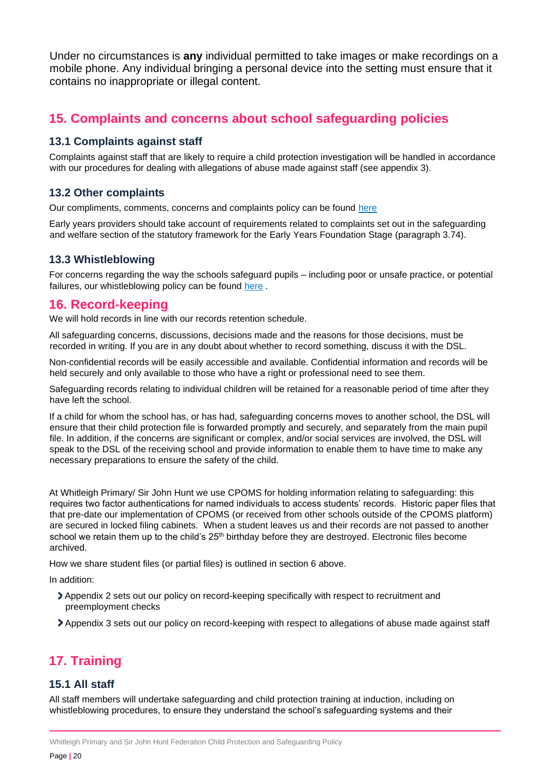Under no circumstances is **any** individual permitted to take images or make recordings on a mobile phone. Any individual bringing a personal device into the setting must ensure that it contains no inappropriate or illegal content.

# <span id="page-19-0"></span>**15. Complaints and concerns about school safeguarding policies**

## **13.1 Complaints against staff**

Complaints against staff that are likely to require a child protection investigation will be handled in accordance with our procedures for dealing with allegations of abuse made against staff (see appendix 3).

## **13.2 Other complaints**

Our compliments, comments, concerns and complaints policy can be found [here](http://www.sjhcsc.co.uk/data/9e9e0b86-cc66-4ac5-885b-2804b084cd95/Compliments%20Concerns%20and%20Complaints%20Policy%20(WPSJH).pdf)

Early years providers should take account of requirements related to complaints set out in the safeguarding and welfare section of the statutory framework for the Early Years Foundation Stage (paragraph 3.74).

## **13.3 Whistleblowing**

For concerns regarding the way the schools safeguard pupils – including poor or unsafe practice, or potential failures, our whistleblowing policy can be found [here](http://www.sjhcsc.co.uk/data/155f1b37-ea59-4c3b-88c5-437f21c8722f/Whistleblowing%20Policy%20(WPSJH).pdf)[.](http://www.sjhcsc.co.uk/data/155f1b37-ea59-4c3b-88c5-437f21c8722f/Whistleblowing%20Policy%20(WPSJH).pdf)

## <span id="page-19-1"></span>**16. Record-keeping**

We will hold records in line with our records retention schedule.

All safeguarding concerns, discussions, decisions made and the reasons for those decisions, must be recorded in writing. If you are in any doubt about whether to record something, discuss it with the DSL.

Non-confidential records will be easily accessible and available. Confidential information and records will be held securely and only available to those who have a right or professional need to see them.

Safeguarding records relating to individual children will be retained for a reasonable period of time after they have left the school.

If a child for whom the school has, or has had, safeguarding concerns moves to another school, the DSL will ensure that their child protection file is forwarded promptly and securely, and separately from the main pupil file. In addition, if the concerns are significant or complex, and/or social services are involved, the DSL will speak to the DSL of the receiving school and provide information to enable them to have time to make any necessary preparations to ensure the safety of the child.

At Whitleigh Primary/ Sir John Hunt we use CPOMS for holding information relating to safeguarding: this requires two factor authentications for named individuals to access students' records. Historic paper files that that pre-date our implementation of CPOMS (or received from other schools outside of the CPOMS platform) are secured in locked filing cabinets. When a student leaves us and their records are not passed to another school we retain them up to the child's 25<sup>th</sup> birthday before they are destroyed. Electronic files become archived.

How we share student files (or partial files) is outlined in section 6 above.

In addition:

- Appendix 2 sets out our policy on record-keeping specifically with respect to recruitment and preemployment checks
- Appendix 3 sets out our policy on record-keeping with respect to allegations of abuse made against staff

# <span id="page-19-2"></span>**17. Training**

## **15.1 All staff**

All staff members will undertake safeguarding and child protection training at induction, including on whistleblowing procedures, to ensure they understand the school's safeguarding systems and their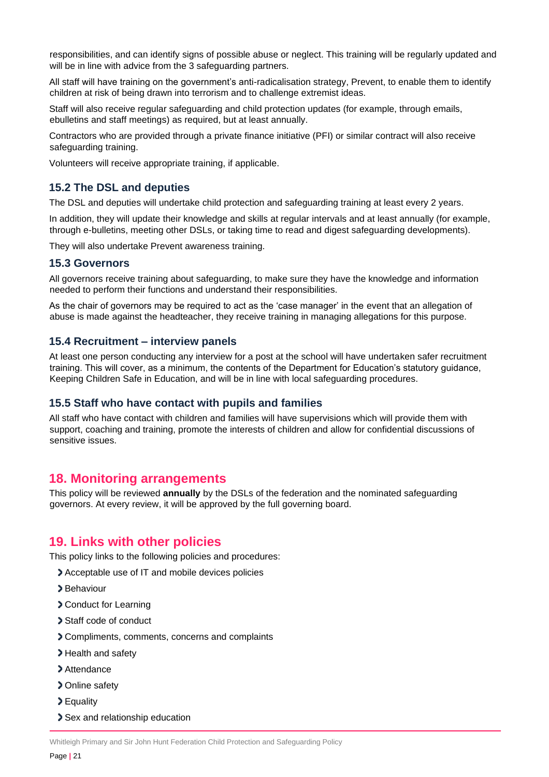responsibilities, and can identify signs of possible abuse or neglect. This training will be regularly updated and will be in line with advice from the 3 safeguarding partners.

All staff will have training on the government's anti-radicalisation strategy, Prevent, to enable them to identify children at risk of being drawn into terrorism and to challenge extremist ideas.

Staff will also receive regular safeguarding and child protection updates (for example, through emails, ebulletins and staff meetings) as required, but at least annually.

Contractors who are provided through a private finance initiative (PFI) or similar contract will also receive safeguarding training.

Volunteers will receive appropriate training, if applicable.

### **15.2 The DSL and deputies**

The DSL and deputies will undertake child protection and safeguarding training at least every 2 years.

In addition, they will update their knowledge and skills at regular intervals and at least annually (for example, through e-bulletins, meeting other DSLs, or taking time to read and digest safeguarding developments).

They will also undertake Prevent awareness training.

#### **15.3 Governors**

All governors receive training about safeguarding, to make sure they have the knowledge and information needed to perform their functions and understand their responsibilities.

As the chair of governors may be required to act as the 'case manager' in the event that an allegation of abuse is made against the headteacher, they receive training in managing allegations for this purpose.

#### **15.4 Recruitment – interview panels**

At least one person conducting any interview for a post at the school will have undertaken safer recruitment training. This will cover, as a minimum, the contents of the Department for Education's statutory guidance, Keeping Children Safe in Education, and will be in line with local safeguarding procedures.

#### **15.5 Staff who have contact with pupils and families**

All staff who have contact with children and families will have supervisions which will provide them with support, coaching and training, promote the interests of children and allow for confidential discussions of sensitive issues.

## <span id="page-20-0"></span>**18. Monitoring arrangements**

This policy will be reviewed **annually** by the DSLs of the federation and the nominated safeguarding governors. At every review, it will be approved by the full governing board.

## <span id="page-20-1"></span>**19. Links with other policies**

This policy links to the following policies and procedures:

- Acceptable use of IT and mobile devices policies
- > Behaviour
- Conduct for Learning
- Staff code of conduct
- Compliments, comments, concerns and complaints
- > Health and safety
- > Attendance
- > Online safety
- Equality
- **>** Sex and relationship education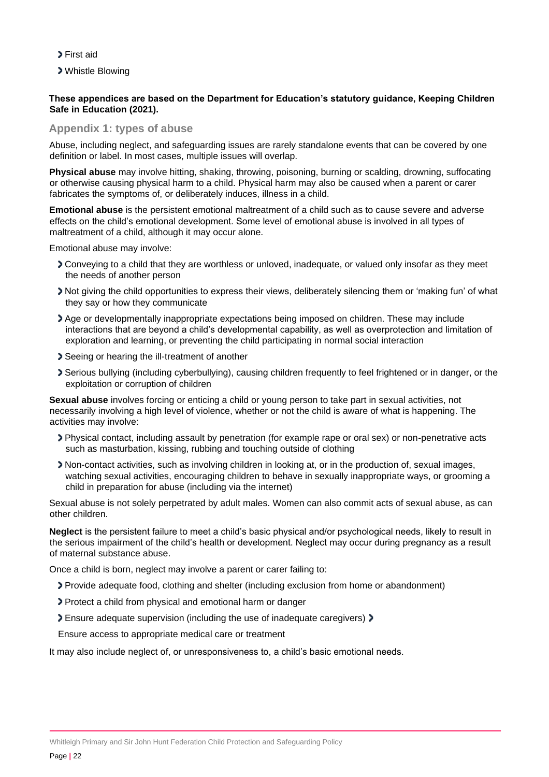First aid

Whistle Blowing

#### **These appendices are based on the Department for Education's statutory guidance, Keeping Children Safe in Education (2021).**

#### <span id="page-21-0"></span>**Appendix 1: types of abuse**

Abuse, including neglect, and safeguarding issues are rarely standalone events that can be covered by one definition or label. In most cases, multiple issues will overlap.

**Physical abuse** may involve hitting, shaking, throwing, poisoning, burning or scalding, drowning, suffocating or otherwise causing physical harm to a child. Physical harm may also be caused when a parent or carer fabricates the symptoms of, or deliberately induces, illness in a child.

**Emotional abuse** is the persistent emotional maltreatment of a child such as to cause severe and adverse effects on the child's emotional development. Some level of emotional abuse is involved in all types of maltreatment of a child, although it may occur alone.

Emotional abuse may involve:

- Conveying to a child that they are worthless or unloved, inadequate, or valued only insofar as they meet the needs of another person
- Not giving the child opportunities to express their views, deliberately silencing them or 'making fun' of what they say or how they communicate
- Age or developmentally inappropriate expectations being imposed on children. These may include interactions that are beyond a child's developmental capability, as well as overprotection and limitation of exploration and learning, or preventing the child participating in normal social interaction
- Seeing or hearing the ill-treatment of another
- Serious bullying (including cyberbullying), causing children frequently to feel frightened or in danger, or the exploitation or corruption of children

**Sexual abuse** involves forcing or enticing a child or young person to take part in sexual activities, not necessarily involving a high level of violence, whether or not the child is aware of what is happening. The activities may involve:

- Physical contact, including assault by penetration (for example rape or oral sex) or non-penetrative acts such as masturbation, kissing, rubbing and touching outside of clothing
- Non-contact activities, such as involving children in looking at, or in the production of, sexual images, watching sexual activities, encouraging children to behave in sexually inappropriate ways, or grooming a child in preparation for abuse (including via the internet)

Sexual abuse is not solely perpetrated by adult males. Women can also commit acts of sexual abuse, as can other children.

**Neglect** is the persistent failure to meet a child's basic physical and/or psychological needs, likely to result in the serious impairment of the child's health or development. Neglect may occur during pregnancy as a result of maternal substance abuse.

Once a child is born, neglect may involve a parent or carer failing to:

- Provide adequate food, clothing and shelter (including exclusion from home or abandonment)
- Protect a child from physical and emotional harm or danger
- Ensure adequate supervision (including the use of inadequate caregivers)
- Ensure access to appropriate medical care or treatment

It may also include neglect of, or unresponsiveness to, a child's basic emotional needs.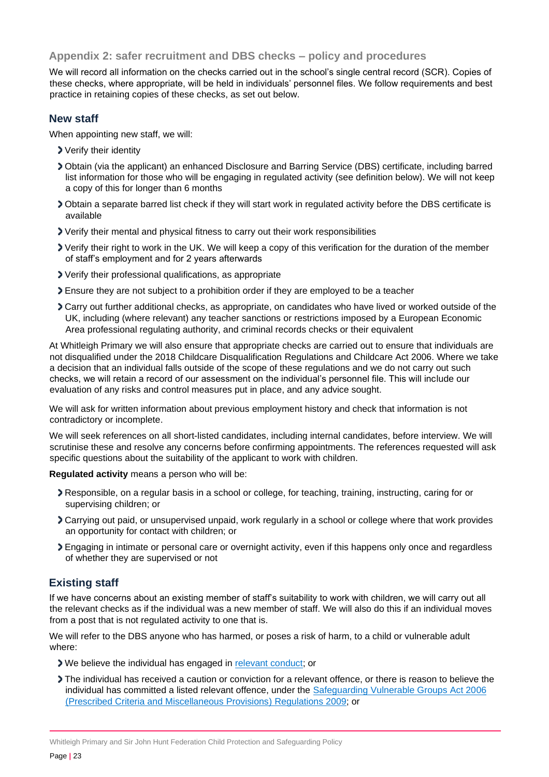## <span id="page-22-0"></span>**Appendix 2: safer recruitment and DBS checks – policy and procedures**

We will record all information on the checks carried out in the school's single central record (SCR). Copies of these checks, where appropriate, will be held in individuals' personnel files. We follow requirements and best practice in retaining copies of these checks, as set out below.

#### **New staff**

When appointing new staff, we will:

- Verify their identity
- Obtain (via the applicant) an enhanced Disclosure and Barring Service (DBS) certificate, including barred list information for those who will be engaging in regulated activity (see definition below). We will not keep a copy of this for longer than 6 months
- Obtain a separate barred list check if they will start work in regulated activity before the DBS certificate is available
- Verify their mental and physical fitness to carry out their work responsibilities
- Verify their right to work in the UK. We will keep a copy of this verification for the duration of the member of staff's employment and for 2 years afterwards
- Verify their professional qualifications, as appropriate
- Ensure they are not subject to a prohibition order if they are employed to be a teacher
- Carry out further additional checks, as appropriate, on candidates who have lived or worked outside of the UK, including (where relevant) any teacher sanctions or restrictions imposed by a European Economic Area professional regulating authority, and criminal records checks or their equivalent

At Whitleigh Primary we will also ensure that appropriate checks are carried out to ensure that individuals are not disqualified under the 2018 Childcare Disqualification Regulations and Childcare Act 2006. Where we take a decision that an individual falls outside of the scope of these regulations and we do not carry out such checks, we will retain a record of our assessment on the individual's personnel file. This will include our evaluation of any risks and control measures put in place, and any advice sought.

We will ask for written information about previous employment history and check that information is not contradictory or incomplete.

We will seek references on all short-listed candidates, including internal candidates, before interview. We will scrutinise these and resolve any concerns before confirming appointments. The references requested will ask specific questions about the suitability of the applicant to work with children.

**Regulated activity** means a person who will be:

- Responsible, on a regular basis in a school or college, for teaching, training, instructing, caring for or supervising children; or
- Carrying out paid, or unsupervised unpaid, work regularly in a school or college where that work provides an opportunity for contact with children; or
- Engaging in intimate or personal care or overnight activity, even if this happens only once and regardless of whether they are supervised or not

## **Existing staff**

If we have concerns about an existing member of staff's suitability to work with children, we will carry out all the relevant checks as if the individual was a new member of staff. We will also do this if an individual moves from a post that is not regulated activity to one that is.

We will refer to the DBS anyone who has harmed, or poses a risk of harm, to a child or vulnerable adult where:

- We believe the individual has engaged in [relevant conduct;](https://www.gov.uk/guidance/making-barring-referrals-to-the-dbs#relevant-conduct-in-relation-to-children) or
- The individual has received a caution or conviction for a relevant offence, or there is reason to believe the individual has committed a listed relevant offence, under the [Safeguarding Vulnerable Groups Act 2006](http://www.legislation.gov.uk/uksi/2009/37/contents/made) [\(Prescribed Criteria and Miscellaneous Provisions\) Regulations 2009;](http://www.legislation.gov.uk/uksi/2009/37/contents/made) or

Whitleigh Primary and Sir John Hunt Federation Child Protection and Safeguarding Policy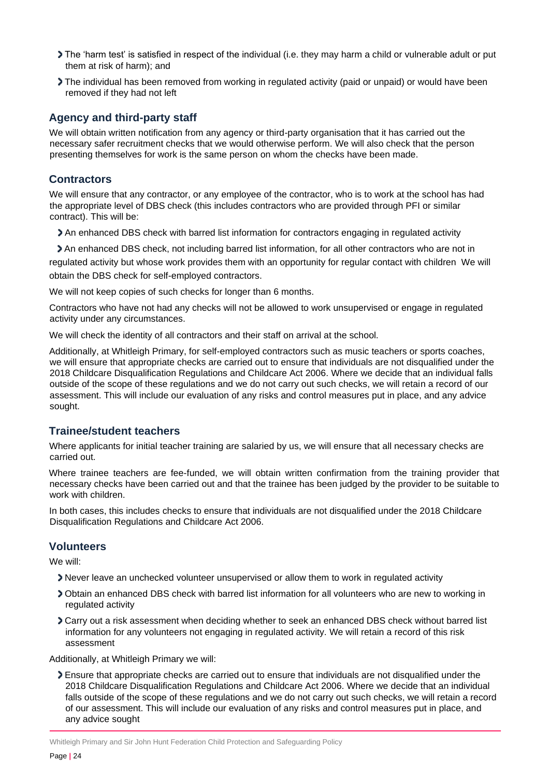- The 'harm test' is satisfied in respect of the individual (i.e. they may harm a child or vulnerable adult or put them at risk of harm); and
- The individual has been removed from working in regulated activity (paid or unpaid) or would have been removed if they had not left

## **Agency and third-party staff**

We will obtain written notification from any agency or third-party organisation that it has carried out the necessary safer recruitment checks that we would otherwise perform. We will also check that the person presenting themselves for work is the same person on whom the checks have been made.

#### **Contractors**

We will ensure that any contractor, or any employee of the contractor, who is to work at the school has had the appropriate level of DBS check (this includes contractors who are provided through PFI or similar contract). This will be:

An enhanced DBS check with barred list information for contractors engaging in regulated activity

An enhanced DBS check, not including barred list information, for all other contractors who are not in

regulated activity but whose work provides them with an opportunity for regular contact with children We will obtain the DBS check for self-employed contractors.

We will not keep copies of such checks for longer than 6 months.

Contractors who have not had any checks will not be allowed to work unsupervised or engage in regulated activity under any circumstances.

We will check the identity of all contractors and their staff on arrival at the school.

Additionally, at Whitleigh Primary, for self-employed contractors such as music teachers or sports coaches, we will ensure that appropriate checks are carried out to ensure that individuals are not disqualified under the 2018 Childcare Disqualification Regulations and Childcare Act 2006. Where we decide that an individual falls outside of the scope of these regulations and we do not carry out such checks, we will retain a record of our assessment. This will include our evaluation of any risks and control measures put in place, and any advice sought.

#### **Trainee/student teachers**

Where applicants for initial teacher training are salaried by us, we will ensure that all necessary checks are carried out.

Where trainee teachers are fee-funded, we will obtain written confirmation from the training provider that necessary checks have been carried out and that the trainee has been judged by the provider to be suitable to work with children.

In both cases, this includes checks to ensure that individuals are not disqualified under the 2018 Childcare Disqualification Regulations and Childcare Act 2006.

#### **Volunteers**

We will:

- Never leave an unchecked volunteer unsupervised or allow them to work in regulated activity
- Obtain an enhanced DBS check with barred list information for all volunteers who are new to working in regulated activity
- Carry out a risk assessment when deciding whether to seek an enhanced DBS check without barred list information for any volunteers not engaging in regulated activity. We will retain a record of this risk assessment

Additionally, at Whitleigh Primary we will:

Ensure that appropriate checks are carried out to ensure that individuals are not disqualified under the 2018 Childcare Disqualification Regulations and Childcare Act 2006. Where we decide that an individual falls outside of the scope of these regulations and we do not carry out such checks, we will retain a record of our assessment. This will include our evaluation of any risks and control measures put in place, and any advice sought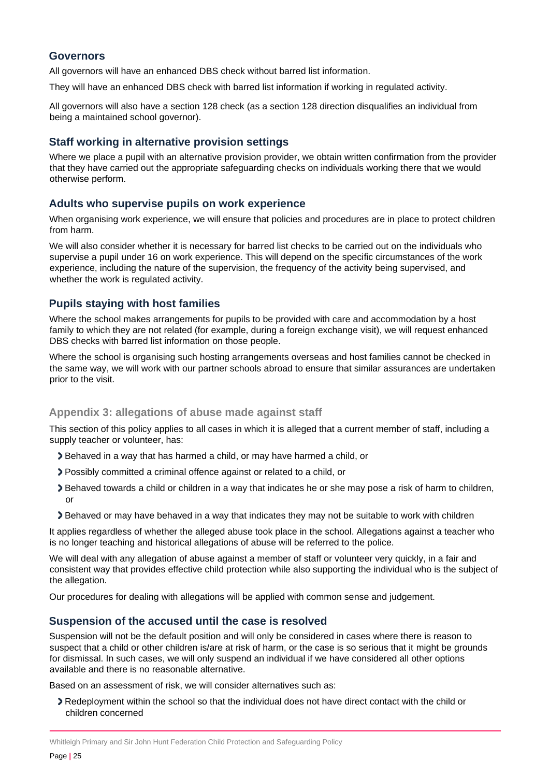## **Governors**

All governors will have an enhanced DBS check without barred list information.

They will have an enhanced DBS check with barred list information if working in regulated activity.

All governors will also have a section 128 check (as a section 128 direction disqualifies an individual from being a maintained school governor).

## **Staff working in alternative provision settings**

Where we place a pupil with an alternative provision provider, we obtain written confirmation from the provider that they have carried out the appropriate safeguarding checks on individuals working there that we would otherwise perform.

#### **Adults who supervise pupils on work experience**

When organising work experience, we will ensure that policies and procedures are in place to protect children from harm.

We will also consider whether it is necessary for barred list checks to be carried out on the individuals who supervise a pupil under 16 on work experience. This will depend on the specific circumstances of the work experience, including the nature of the supervision, the frequency of the activity being supervised, and whether the work is regulated activity.

## **Pupils staying with host families**

Where the school makes arrangements for pupils to be provided with care and accommodation by a host family to which they are not related (for example, during a foreign exchange visit), we will request enhanced DBS checks with barred list information on those people.

Where the school is organising such hosting arrangements overseas and host families cannot be checked in the same way, we will work with our partner schools abroad to ensure that similar assurances are undertaken prior to the visit.

## <span id="page-24-0"></span>**Appendix 3: allegations of abuse made against staff**

This section of this policy applies to all cases in which it is alleged that a current member of staff, including a supply teacher or volunteer, has:

- Behaved in a way that has harmed a child, or may have harmed a child, or
- Possibly committed a criminal offence against or related to a child, or
- Behaved towards a child or children in a way that indicates he or she may pose a risk of harm to children, or
- Behaved or may have behaved in a way that indicates they may not be suitable to work with children

It applies regardless of whether the alleged abuse took place in the school. Allegations against a teacher who is no longer teaching and historical allegations of abuse will be referred to the police.

We will deal with any allegation of abuse against a member of staff or volunteer very quickly, in a fair and consistent way that provides effective child protection while also supporting the individual who is the subject of the allegation.

Our procedures for dealing with allegations will be applied with common sense and judgement.

## **Suspension of the accused until the case is resolved**

Suspension will not be the default position and will only be considered in cases where there is reason to suspect that a child or other children is/are at risk of harm, or the case is so serious that it might be grounds for dismissal. In such cases, we will only suspend an individual if we have considered all other options available and there is no reasonable alternative.

Based on an assessment of risk, we will consider alternatives such as:

Redeployment within the school so that the individual does not have direct contact with the child or children concerned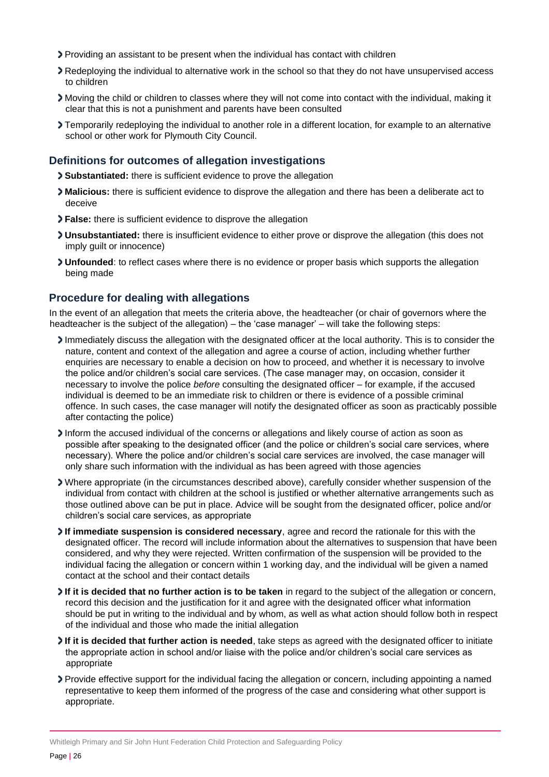- Providing an assistant to be present when the individual has contact with children
- Redeploying the individual to alternative work in the school so that they do not have unsupervised access to children
- Moving the child or children to classes where they will not come into contact with the individual, making it clear that this is not a punishment and parents have been consulted
- Temporarily redeploying the individual to another role in a different location, for example to an alternative school or other work for Plymouth City Council.

## **Definitions for outcomes of allegation investigations**

- **Substantiated:** there is sufficient evidence to prove the allegation
- **Malicious:** there is sufficient evidence to disprove the allegation and there has been a deliberate act to deceive
- **False:** there is sufficient evidence to disprove the allegation
- **Unsubstantiated:** there is insufficient evidence to either prove or disprove the allegation (this does not imply guilt or innocence)
- **Unfounded**: to reflect cases where there is no evidence or proper basis which supports the allegation being made

## **Procedure for dealing with allegations**

In the event of an allegation that meets the criteria above, the headteacher (or chair of governors where the headteacher is the subject of the allegation) – the 'case manager' – will take the following steps:

- Immediately discuss the allegation with the designated officer at the local authority. This is to consider the nature, content and context of the allegation and agree a course of action, including whether further enquiries are necessary to enable a decision on how to proceed, and whether it is necessary to involve the police and/or children's social care services. (The case manager may, on occasion, consider it necessary to involve the police *before* consulting the designated officer – for example, if the accused individual is deemed to be an immediate risk to children or there is evidence of a possible criminal offence. In such cases, the case manager will notify the designated officer as soon as practicably possible after contacting the police)
- Inform the accused individual of the concerns or allegations and likely course of action as soon as possible after speaking to the designated officer (and the police or children's social care services, where necessary). Where the police and/or children's social care services are involved, the case manager will only share such information with the individual as has been agreed with those agencies
- Where appropriate (in the circumstances described above), carefully consider whether suspension of the individual from contact with children at the school is justified or whether alternative arrangements such as those outlined above can be put in place. Advice will be sought from the designated officer, police and/or children's social care services, as appropriate
- **If immediate suspension is considered necessary**, agree and record the rationale for this with the designated officer. The record will include information about the alternatives to suspension that have been considered, and why they were rejected. Written confirmation of the suspension will be provided to the individual facing the allegation or concern within 1 working day, and the individual will be given a named contact at the school and their contact details
- **If it is decided that no further action is to be taken** in regard to the subject of the allegation or concern, record this decision and the justification for it and agree with the designated officer what information should be put in writing to the individual and by whom, as well as what action should follow both in respect of the individual and those who made the initial allegation
- **If it is decided that further action is needed**, take steps as agreed with the designated officer to initiate the appropriate action in school and/or liaise with the police and/or children's social care services as appropriate
- Provide effective support for the individual facing the allegation or concern, including appointing a named representative to keep them informed of the progress of the case and considering what other support is appropriate.

Whitleigh Primary and Sir John Hunt Federation Child Protection and Safeguarding Policy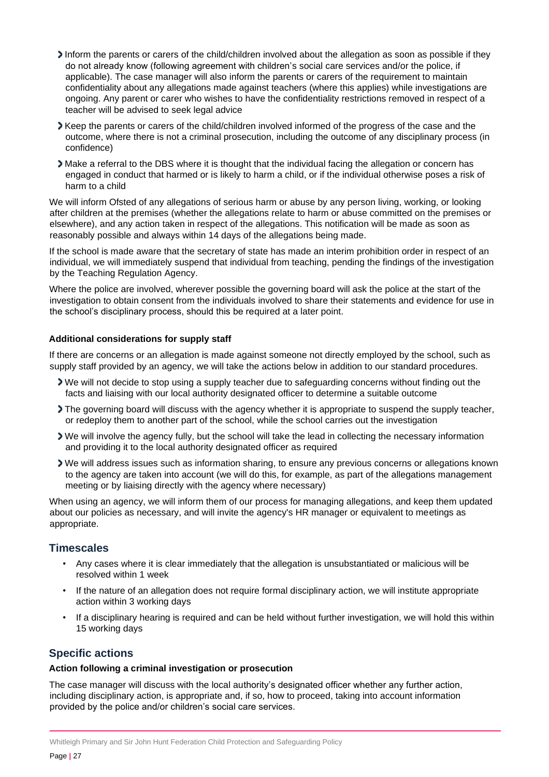- Inform the parents or carers of the child/children involved about the allegation as soon as possible if they do not already know (following agreement with children's social care services and/or the police, if applicable). The case manager will also inform the parents or carers of the requirement to maintain confidentiality about any allegations made against teachers (where this applies) while investigations are ongoing. Any parent or carer who wishes to have the confidentiality restrictions removed in respect of a teacher will be advised to seek legal advice
- Keep the parents or carers of the child/children involved informed of the progress of the case and the outcome, where there is not a criminal prosecution, including the outcome of any disciplinary process (in confidence)
- Make a referral to the DBS where it is thought that the individual facing the allegation or concern has engaged in conduct that harmed or is likely to harm a child, or if the individual otherwise poses a risk of harm to a child

We will inform Ofsted of any allegations of serious harm or abuse by any person living, working, or looking after children at the premises (whether the allegations relate to harm or abuse committed on the premises or elsewhere), and any action taken in respect of the allegations. This notification will be made as soon as reasonably possible and always within 14 days of the allegations being made.

If the school is made aware that the secretary of state has made an interim prohibition order in respect of an individual, we will immediately suspend that individual from teaching, pending the findings of the investigation by the Teaching Regulation Agency.

Where the police are involved, wherever possible the governing board will ask the police at the start of the investigation to obtain consent from the individuals involved to share their statements and evidence for use in the school's disciplinary process, should this be required at a later point.

#### **Additional considerations for supply staff**

If there are concerns or an allegation is made against someone not directly employed by the school, such as supply staff provided by an agency, we will take the actions below in addition to our standard procedures.

- We will not decide to stop using a supply teacher due to safeguarding concerns without finding out the facts and liaising with our local authority designated officer to determine a suitable outcome
- The governing board will discuss with the agency whether it is appropriate to suspend the supply teacher, or redeploy them to another part of the school, while the school carries out the investigation
- We will involve the agency fully, but the school will take the lead in collecting the necessary information and providing it to the local authority designated officer as required
- We will address issues such as information sharing, to ensure any previous concerns or allegations known to the agency are taken into account (we will do this, for example, as part of the allegations management meeting or by liaising directly with the agency where necessary)

When using an agency, we will inform them of our process for managing allegations, and keep them updated about our policies as necessary, and will invite the agency's HR manager or equivalent to meetings as appropriate.

#### **Timescales**

- Any cases where it is clear immediately that the allegation is unsubstantiated or malicious will be resolved within 1 week
- If the nature of an allegation does not require formal disciplinary action, we will institute appropriate action within 3 working days
- If a disciplinary hearing is required and can be held without further investigation, we will hold this within 15 working days

#### **Specific actions**

#### **Action following a criminal investigation or prosecution**

The case manager will discuss with the local authority's designated officer whether any further action, including disciplinary action, is appropriate and, if so, how to proceed, taking into account information provided by the police and/or children's social care services.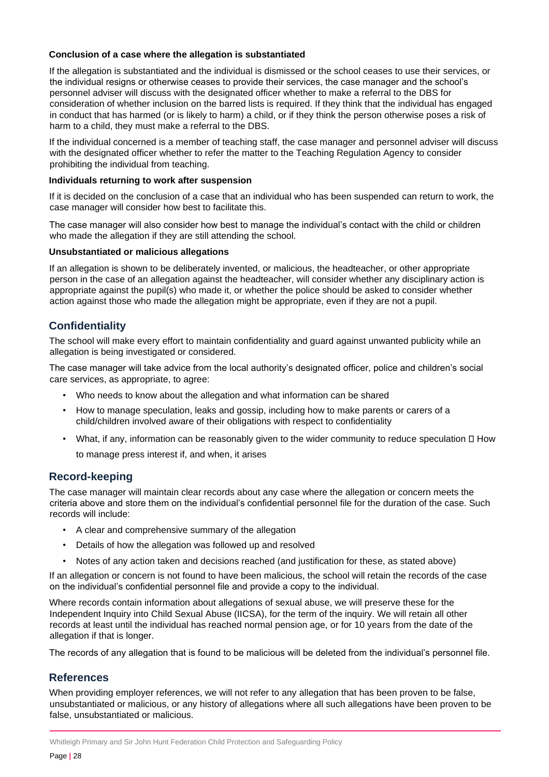#### **Conclusion of a case where the allegation is substantiated**

If the allegation is substantiated and the individual is dismissed or the school ceases to use their services, or the individual resigns or otherwise ceases to provide their services, the case manager and the school's personnel adviser will discuss with the designated officer whether to make a referral to the DBS for consideration of whether inclusion on the barred lists is required. If they think that the individual has engaged in conduct that has harmed (or is likely to harm) a child, or if they think the person otherwise poses a risk of harm to a child, they must make a referral to the DBS.

If the individual concerned is a member of teaching staff, the case manager and personnel adviser will discuss with the designated officer whether to refer the matter to the Teaching Regulation Agency to consider prohibiting the individual from teaching.

#### **Individuals returning to work after suspension**

If it is decided on the conclusion of a case that an individual who has been suspended can return to work, the case manager will consider how best to facilitate this.

The case manager will also consider how best to manage the individual's contact with the child or children who made the allegation if they are still attending the school.

#### **Unsubstantiated or malicious allegations**

If an allegation is shown to be deliberately invented, or malicious, the headteacher, or other appropriate person in the case of an allegation against the headteacher, will consider whether any disciplinary action is appropriate against the pupil(s) who made it, or whether the police should be asked to consider whether action against those who made the allegation might be appropriate, even if they are not a pupil.

## **Confidentiality**

The school will make every effort to maintain confidentiality and guard against unwanted publicity while an allegation is being investigated or considered.

The case manager will take advice from the local authority's designated officer, police and children's social care services, as appropriate, to agree:

- Who needs to know about the allegation and what information can be shared
- How to manage speculation, leaks and gossip, including how to make parents or carers of a child/children involved aware of their obligations with respect to confidentiality
- What, if any, information can be reasonably given to the wider community to reduce speculation  $\Box$  How to manage press interest if, and when, it arises

## **Record-keeping**

The case manager will maintain clear records about any case where the allegation or concern meets the criteria above and store them on the individual's confidential personnel file for the duration of the case. Such records will include:

- A clear and comprehensive summary of the allegation
- Details of how the allegation was followed up and resolved
- Notes of any action taken and decisions reached (and justification for these, as stated above)

If an allegation or concern is not found to have been malicious, the school will retain the records of the case on the individual's confidential personnel file and provide a copy to the individual.

Where records contain information about allegations of sexual abuse, we will preserve these for the Independent Inquiry into Child Sexual Abuse (IICSA), for the term of the inquiry. We will retain all other records at least until the individual has reached normal pension age, or for 10 years from the date of the allegation if that is longer.

The records of any allegation that is found to be malicious will be deleted from the individual's personnel file.

#### **References**

When providing employer references, we will not refer to any allegation that has been proven to be false, unsubstantiated or malicious, or any history of allegations where all such allegations have been proven to be false, unsubstantiated or malicious.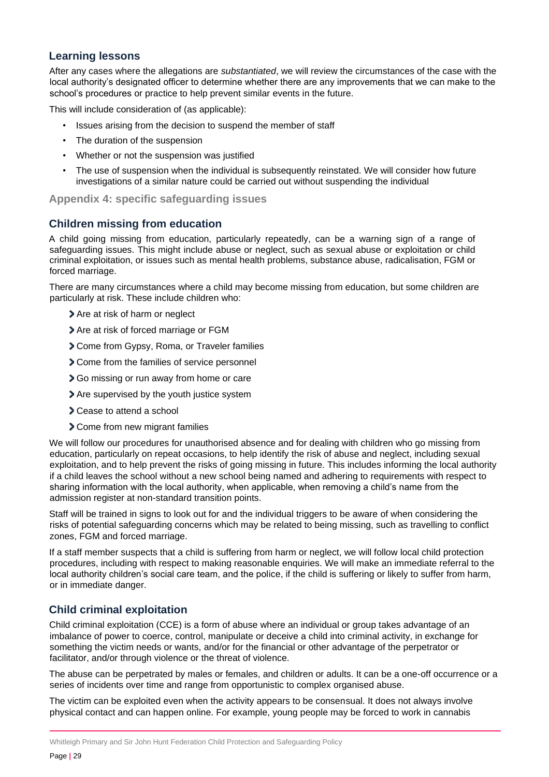## **Learning lessons**

After any cases where the allegations are *substantiated*, we will review the circumstances of the case with the local authority's designated officer to determine whether there are any improvements that we can make to the school's procedures or practice to help prevent similar events in the future.

This will include consideration of (as applicable):

- Issues arising from the decision to suspend the member of staff
- The duration of the suspension
- Whether or not the suspension was justified
- The use of suspension when the individual is subsequently reinstated. We will consider how future investigations of a similar nature could be carried out without suspending the individual

<span id="page-28-0"></span>**Appendix 4: specific safeguarding issues** 

#### **Children missing from education**

A child going missing from education, particularly repeatedly, can be a warning sign of a range of safeguarding issues. This might include abuse or neglect, such as sexual abuse or exploitation or child criminal exploitation, or issues such as mental health problems, substance abuse, radicalisation, FGM or forced marriage.

There are many circumstances where a child may become missing from education, but some children are particularly at risk. These include children who:

- > Are at risk of harm or neglect
- > Are at risk of forced marriage or FGM
- Come from Gypsy, Roma, or Traveler families
- Come from the families of service personnel
- So missing or run away from home or care
- Are supervised by the youth justice system
- > Cease to attend a school
- **>** Come from new migrant families

We will follow our procedures for unauthorised absence and for dealing with children who go missing from education, particularly on repeat occasions, to help identify the risk of abuse and neglect, including sexual exploitation, and to help prevent the risks of going missing in future. This includes informing the local authority if a child leaves the school without a new school being named and adhering to requirements with respect to sharing information with the local authority, when applicable, when removing a child's name from the admission register at non-standard transition points.

Staff will be trained in signs to look out for and the individual triggers to be aware of when considering the risks of potential safeguarding concerns which may be related to being missing, such as travelling to conflict zones, FGM and forced marriage.

If a staff member suspects that a child is suffering from harm or neglect, we will follow local child protection procedures, including with respect to making reasonable enquiries. We will make an immediate referral to the local authority children's social care team, and the police, if the child is suffering or likely to suffer from harm, or in immediate danger.

## **Child criminal exploitation**

Child criminal exploitation (CCE) is a form of abuse where an individual or group takes advantage of an imbalance of power to coerce, control, manipulate or deceive a child into criminal activity, in exchange for something the victim needs or wants, and/or for the financial or other advantage of the perpetrator or facilitator, and/or through violence or the threat of violence.

The abuse can be perpetrated by males or females, and children or adults. It can be a one-off occurrence or a series of incidents over time and range from opportunistic to complex organised abuse.

The victim can be exploited even when the activity appears to be consensual. It does not always involve physical contact and can happen online. For example, young people may be forced to work in cannabis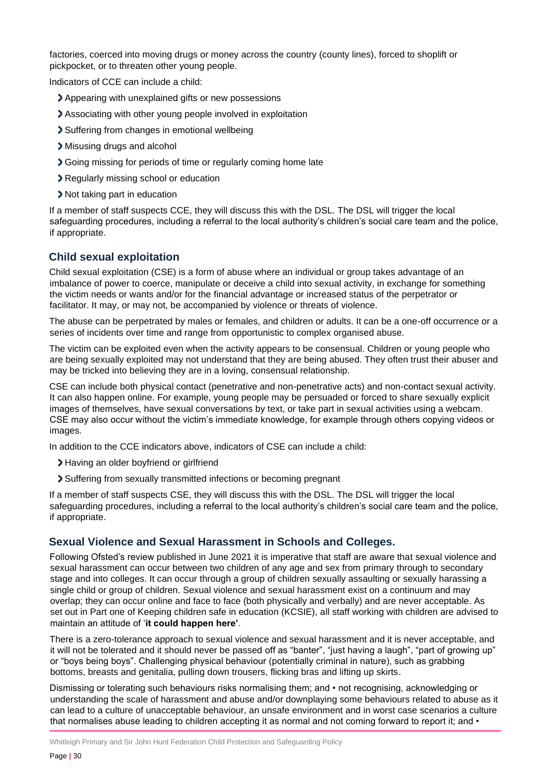factories, coerced into moving drugs or money across the country (county lines), forced to shoplift or pickpocket, or to threaten other young people.

Indicators of CCE can include a child:

- Appearing with unexplained gifts or new possessions
- Associating with other young people involved in exploitation
- Suffering from changes in emotional wellbeing
- Misusing drugs and alcohol
- Going missing for periods of time or regularly coming home late
- Regularly missing school or education
- Not taking part in education

If a member of staff suspects CCE, they will discuss this with the DSL. The DSL will trigger the local safeguarding procedures, including a referral to the local authority's children's social care team and the police, if appropriate.

#### **Child sexual exploitation**

Child sexual exploitation (CSE) is a form of abuse where an individual or group takes advantage of an imbalance of power to coerce, manipulate or deceive a child into sexual activity, in exchange for something the victim needs or wants and/or for the financial advantage or increased status of the perpetrator or facilitator. It may, or may not, be accompanied by violence or threats of violence.

The abuse can be perpetrated by males or females, and children or adults. It can be a one-off occurrence or a series of incidents over time and range from opportunistic to complex organised abuse.

The victim can be exploited even when the activity appears to be consensual. Children or young people who are being sexually exploited may not understand that they are being abused. They often trust their abuser and may be tricked into believing they are in a loving, consensual relationship.

CSE can include both physical contact (penetrative and non-penetrative acts) and non-contact sexual activity. It can also happen online. For example, young people may be persuaded or forced to share sexually explicit images of themselves, have sexual conversations by text, or take part in sexual activities using a webcam. CSE may also occur without the victim's immediate knowledge, for example through others copying videos or images.

In addition to the CCE indicators above, indicators of CSE can include a child:

- Having an older boyfriend or girlfriend
- Suffering from sexually transmitted infections or becoming pregnant

If a member of staff suspects CSE, they will discuss this with the DSL. The DSL will trigger the local safeguarding procedures, including a referral to the local authority's children's social care team and the police, if appropriate.

#### **Sexual Violence and Sexual Harassment in Schools and Colleges.**

Following Ofsted's review published in June 2021 it is imperative that staff are aware that sexual violence and sexual harassment can occur between two children of any age and sex from primary through to secondary stage and into colleges. It can occur through a group of children sexually assaulting or sexually harassing a single child or group of children. Sexual violence and sexual harassment exist on a continuum and may overlap; they can occur online and face to face (both physically and verbally) and are never acceptable. As set out in Part one of Keeping children safe in education (KCSIE), all staff working with children are advised to maintain an attitude of '**it could happen here'**.

There is a zero-tolerance approach to sexual violence and sexual harassment and it is never acceptable, and it will not be tolerated and it should never be passed off as "banter", "just having a laugh", "part of growing up" or "boys being boys". Challenging physical behaviour (potentially criminal in nature), such as grabbing bottoms, breasts and genitalia, pulling down trousers, flicking bras and lifting up skirts.

Dismissing or tolerating such behaviours risks normalising them; and • not recognising, acknowledging or understanding the scale of harassment and abuse and/or downplaying some behaviours related to abuse as it can lead to a culture of unacceptable behaviour, an unsafe environment and in worst case scenarios a culture that normalises abuse leading to children accepting it as normal and not coming forward to report it; and  $\cdot$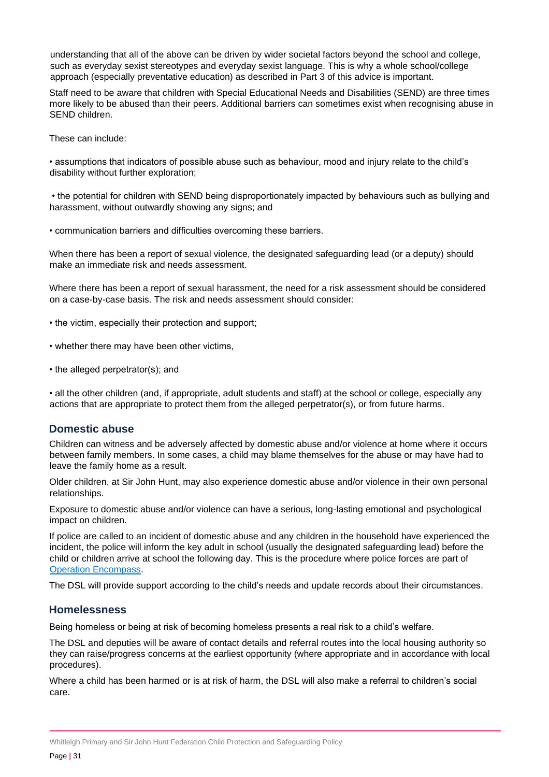understanding that all of the above can be driven by wider societal factors beyond the school and college, such as everyday sexist stereotypes and everyday sexist language. This is why a whole school/college approach (especially preventative education) as described in Part 3 of this advice is important.

Staff need to be aware that children with Special Educational Needs and Disabilities (SEND) are three times more likely to be abused than their peers. Additional barriers can sometimes exist when recognising abuse in SEND children.

These can include:

• assumptions that indicators of possible abuse such as behaviour, mood and injury relate to the child's disability without further exploration;

• the potential for children with SEND being disproportionately impacted by behaviours such as bullying and harassment, without outwardly showing any signs; and

• communication barriers and difficulties overcoming these barriers.

When there has been a report of sexual violence, the designated safeguarding lead (or a deputy) should make an immediate risk and needs assessment.

Where there has been a report of sexual harassment, the need for a risk assessment should be considered on a case-by-case basis. The risk and needs assessment should consider:

- the victim, especially their protection and support;
- whether there may have been other victims,
- the alleged perpetrator(s); and

• all the other children (and, if appropriate, adult students and staff) at the school or college, especially any actions that are appropriate to protect them from the alleged perpetrator(s), or from future harms.

#### **Domestic abuse**

Children can witness and be adversely affected by domestic abuse and/or violence at home where it occurs between family members. In some cases, a child may blame themselves for the abuse or may have had to leave the family home as a result.

Older children, at Sir John Hunt, may also experience domestic abuse and/or violence in their own personal relationships.

Exposure to domestic abuse and/or violence can have a serious, long-lasting emotional and psychological impact on children.

If police are called to an incident of domestic abuse and any children in the household have experienced the incident, the police will inform the key adult in school (usually the designated safeguarding lead) before the child or children arrive at school the following day. This is the procedure where police forces are part of [Operation Encompass.](https://www.operationencompass.org/)

The DSL will provide support according to the child's needs and update records about their circumstances.

#### **Homelessness**

Being homeless or being at risk of becoming homeless presents a real risk to a child's welfare.

The DSL and deputies will be aware of contact details and referral routes into the local housing authority so they can raise/progress concerns at the earliest opportunity (where appropriate and in accordance with local procedures).

Where a child has been harmed or is at risk of harm, the DSL will also make a referral to children's social care.

Whitleigh Primary and Sir John Hunt Federation Child Protection and Safeguarding Policy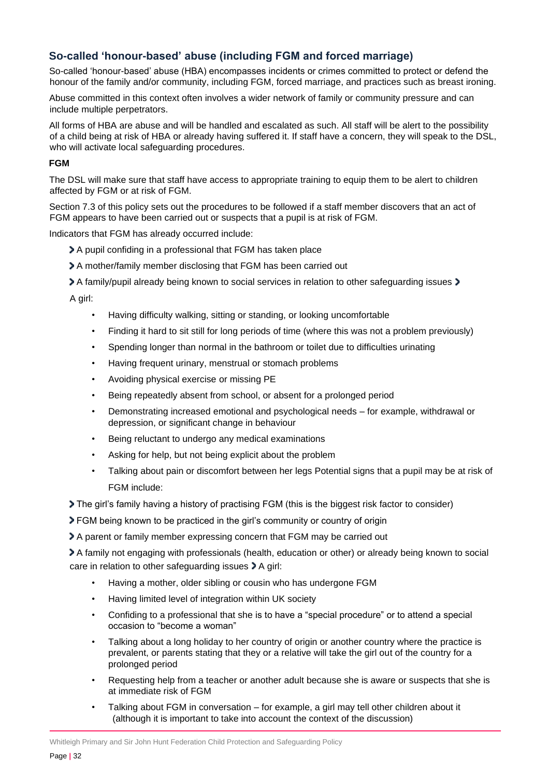## **So-called 'honour-based' abuse (including FGM and forced marriage)**

So-called 'honour-based' abuse (HBA) encompasses incidents or crimes committed to protect or defend the honour of the family and/or community, including FGM, forced marriage, and practices such as breast ironing.

Abuse committed in this context often involves a wider network of family or community pressure and can include multiple perpetrators.

All forms of HBA are abuse and will be handled and escalated as such. All staff will be alert to the possibility of a child being at risk of HBA or already having suffered it. If staff have a concern, they will speak to the DSL, who will activate local safeguarding procedures.

#### **FGM**

The DSL will make sure that staff have access to appropriate training to equip them to be alert to children affected by FGM or at risk of FGM.

Section 7.3 of this policy sets out the procedures to be followed if a staff member discovers that an act of FGM appears to have been carried out or suspects that a pupil is at risk of FGM.

Indicators that FGM has already occurred include:

- A pupil confiding in a professional that FGM has taken place
- A mother/family member disclosing that FGM has been carried out
- A family/pupil already being known to social services in relation to other safeguarding issues  $\blacktriangleright$

A girl:

- Having difficulty walking, sitting or standing, or looking uncomfortable
- Finding it hard to sit still for long periods of time (where this was not a problem previously)
- Spending longer than normal in the bathroom or toilet due to difficulties urinating
- Having frequent urinary, menstrual or stomach problems
- Avoiding physical exercise or missing PE
- Being repeatedly absent from school, or absent for a prolonged period
- Demonstrating increased emotional and psychological needs for example, withdrawal or depression, or significant change in behaviour
- Being reluctant to undergo any medical examinations
- Asking for help, but not being explicit about the problem
- Talking about pain or discomfort between her legs Potential signs that a pupil may be at risk of FGM include:

The girl's family having a history of practising FGM (this is the biggest risk factor to consider)

**FGM being known to be practiced in the girl's community or country of origin** 

A parent or family member expressing concern that FGM may be carried out

A family not engaging with professionals (health, education or other) or already being known to social care in relation to other safeguarding issues > A girl:

- Having a mother, older sibling or cousin who has undergone FGM
- Having limited level of integration within UK society
- Confiding to a professional that she is to have a "special procedure" or to attend a special occasion to "become a woman"
- Talking about a long holiday to her country of origin or another country where the practice is prevalent, or parents stating that they or a relative will take the girl out of the country for a prolonged period
- Requesting help from a teacher or another adult because she is aware or suspects that she is at immediate risk of FGM
- Talking about FGM in conversation for example, a girl may tell other children about it (although it is important to take into account the context of the discussion)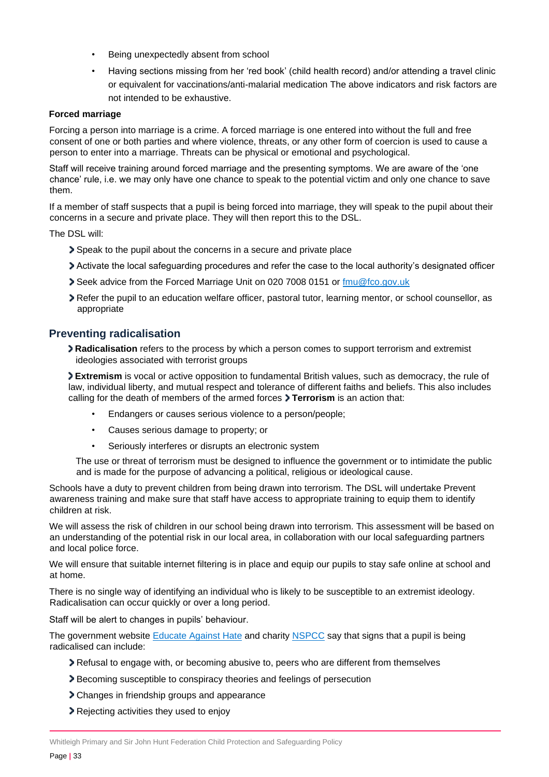- Being unexpectedly absent from school
- Having sections missing from her 'red book' (child health record) and/or attending a travel clinic or equivalent for vaccinations/anti-malarial medication The above indicators and risk factors are not intended to be exhaustive.

#### **Forced marriage**

Forcing a person into marriage is a crime. A forced marriage is one entered into without the full and free consent of one or both parties and where violence, threats, or any other form of coercion is used to cause a person to enter into a marriage. Threats can be physical or emotional and psychological.

Staff will receive training around forced marriage and the presenting symptoms. We are aware of the 'one chance' rule, i.e. we may only have one chance to speak to the potential victim and only one chance to save them.

If a member of staff suspects that a pupil is being forced into marriage, they will speak to the pupil about their concerns in a secure and private place. They will then report this to the DSL.

The DSL will:

- Speak to the pupil about the concerns in a secure and private place
- Activate the local safeguarding procedures and refer the case to the local authority's designated officer
- Seek advice from the Forced Marriage Unit on 020 7008 0151 or fmu@fco.gov.uk
- Refer the pupil to an education welfare officer, pastoral tutor, learning mentor, or school counsellor, as appropriate

## **Preventing radicalisation**

**Radicalisation** refers to the process by which a person comes to support terrorism and extremist ideologies associated with terrorist groups

**Extremism** is vocal or active opposition to fundamental British values, such as democracy, the rule of law, individual liberty, and mutual respect and tolerance of different faiths and beliefs. This also includes calling for the death of members of the armed forces **Terrorism** is an action that:

- Endangers or causes serious violence to a person/people;
- Causes serious damage to property; or
- Seriously interferes or disrupts an electronic system

The use or threat of terrorism must be designed to influence the government or to intimidate the public and is made for the purpose of advancing a political, religious or ideological cause.

Schools have a duty to prevent children from being drawn into terrorism. The DSL will undertake Prevent awareness training and make sure that staff have access to appropriate training to equip them to identify children at risk.

We will assess the risk of children in our school being drawn into terrorism. This assessment will be based on an understanding of the potential risk in our local area, in collaboration with our local safeguarding partners and local police force.

We will ensure that suitable internet filtering is in place and equip our pupils to stay safe online at school and at home.

There is no single way of identifying an individual who is likely to be susceptible to an extremist ideology. Radicalisation can occur quickly or over a long period.

Staff will be alert to changes in pupils' behaviour.

The government website [Educate Against](http://educateagainsthate.com/parents/what-are-the-warning-signs/) [Hate](http://educateagainsthate.com/parents/what-are-the-warning-signs/) and charity [NSPCC](https://www.nspcc.org.uk/what-you-can-do/report-abuse/dedicated-helplines/protecting-children-from-radicalisation/) [s](https://www.nspcc.org.uk/what-you-can-do/report-abuse/dedicated-helplines/protecting-children-from-radicalisation/)ay that signs that a pupil is being radicalised can include:

- Refusal to engage with, or becoming abusive to, peers who are different from themselves
- Becoming susceptible to conspiracy theories and feelings of persecution
- Changes in friendship groups and appearance
- Rejecting activities they used to enjoy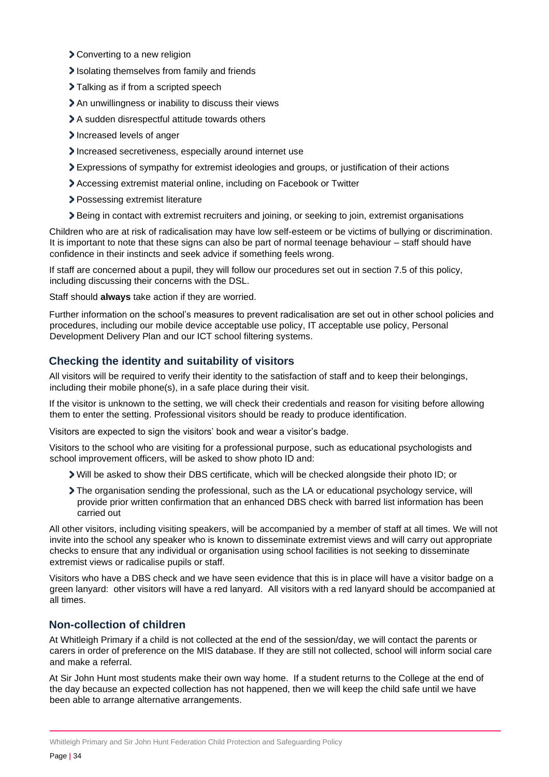- Converting to a new religion
- Isolating themselves from family and friends
- > Talking as if from a scripted speech
- An unwillingness or inability to discuss their views
- A sudden disrespectful attitude towards others
- Increased levels of anger
- Increased secretiveness, especially around internet use
- Expressions of sympathy for extremist ideologies and groups, or justification of their actions
- Accessing extremist material online, including on Facebook or Twitter
- Possessing extremist literature
- Being in contact with extremist recruiters and joining, or seeking to join, extremist organisations

Children who are at risk of radicalisation may have low self-esteem or be victims of bullying or discrimination. It is important to note that these signs can also be part of normal teenage behaviour – staff should have confidence in their instincts and seek advice if something feels wrong.

If staff are concerned about a pupil, they will follow our procedures set out in section 7.5 of this policy, including discussing their concerns with the DSL.

Staff should **always** take action if they are worried.

Further information on the school's measures to prevent radicalisation are set out in other school policies and procedures, including our mobile device acceptable use policy, IT acceptable use policy, Personal Development Delivery Plan and our ICT school filtering systems.

## **Checking the identity and suitability of visitors**

All visitors will be required to verify their identity to the satisfaction of staff and to keep their belongings, including their mobile phone(s), in a safe place during their visit.

If the visitor is unknown to the setting, we will check their credentials and reason for visiting before allowing them to enter the setting. Professional visitors should be ready to produce identification.

Visitors are expected to sign the visitors' book and wear a visitor's badge.

Visitors to the school who are visiting for a professional purpose, such as educational psychologists and school improvement officers, will be asked to show photo ID and:

- Will be asked to show their DBS certificate, which will be checked alongside their photo ID; or
- The organisation sending the professional, such as the LA or educational psychology service, will provide prior written confirmation that an enhanced DBS check with barred list information has been carried out

All other visitors, including visiting speakers, will be accompanied by a member of staff at all times. We will not invite into the school any speaker who is known to disseminate extremist views and will carry out appropriate checks to ensure that any individual or organisation using school facilities is not seeking to disseminate extremist views or radicalise pupils or staff.

Visitors who have a DBS check and we have seen evidence that this is in place will have a visitor badge on a green lanyard: other visitors will have a red lanyard. All visitors with a red lanyard should be accompanied at all times.

#### **Non-collection of children**

At Whitleigh Primary if a child is not collected at the end of the session/day, we will contact the parents or carers in order of preference on the MIS database. If they are still not collected, school will inform social care and make a referral.

At Sir John Hunt most students make their own way home. If a student returns to the College at the end of the day because an expected collection has not happened, then we will keep the child safe until we have been able to arrange alternative arrangements.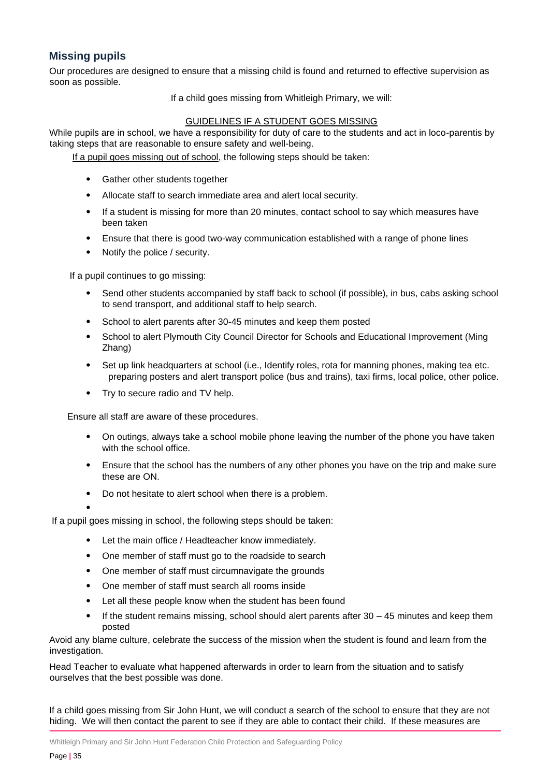## **Missing pupils**

Our procedures are designed to ensure that a missing child is found and returned to effective supervision as soon as possible.

If a child goes missing from Whitleigh Primary, we will:

#### GUIDELINES IF A STUDENT GOES MISSING

While pupils are in school, we have a responsibility for duty of care to the students and act in loco-parentis by taking steps that are reasonable to ensure safety and well-being.

If a pupil goes missing out of school, the following steps should be taken:

- Gather other students together
- Allocate staff to search immediate area and alert local security.
- If a student is missing for more than 20 minutes, contact school to say which measures have been taken
- Ensure that there is good two-way communication established with a range of phone lines
- Notify the police / security.

If a pupil continues to go missing:

- Send other students accompanied by staff back to school (if possible), in bus, cabs asking school to send transport, and additional staff to help search.
- School to alert parents after 30-45 minutes and keep them posted
- School to alert Plymouth City Council Director for Schools and Educational Improvement (Ming Zhang)
- Set up link headquarters at school (i.e., Identify roles, rota for manning phones, making tea etc. preparing posters and alert transport police (bus and trains), taxi firms, local police, other police.
- Try to secure radio and TV help.

Ensure all staff are aware of these procedures.

- On outings, always take a school mobile phone leaving the number of the phone you have taken with the school office.
- Ensure that the school has the numbers of any other phones you have on the trip and make sure these are ON.
- Do not hesitate to alert school when there is a problem.
- •

If a pupil goes missing in school, the following steps should be taken:

- Let the main office / Headteacher know immediately.
- One member of staff must go to the roadside to search
- One member of staff must circumnavigate the grounds
- One member of staff must search all rooms inside
- Let all these people know when the student has been found
- If the student remains missing, school should alert parents after  $30 45$  minutes and keep them posted

Avoid any blame culture, celebrate the success of the mission when the student is found and learn from the investigation.

Head Teacher to evaluate what happened afterwards in order to learn from the situation and to satisfy ourselves that the best possible was done.

If a child goes missing from Sir John Hunt, we will conduct a search of the school to ensure that they are not hiding. We will then contact the parent to see if they are able to contact their child. If these measures are